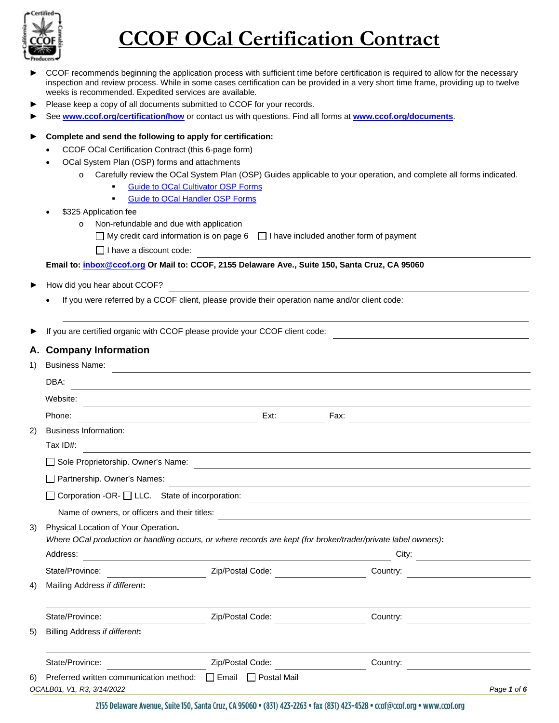

- CCOF recommends beginning the application process with sufficient time before certification is required to allow for the necessary inspection and review process. While in some cases certification can be provided in a very short time frame, providing up to twelve weeks is recommended. Expedited services are available.
- Please keep a copy of all documents submitted to CCOF for your records.
- ► See **[www.ccof.org/certification/how](http://www.ccof.org/certification/how)** or contact us with questions. Find all forms at **[www.ccof.org/documents](https://www.ccof.org/documents)**.

#### ► **Complete and send the following to apply for certification:**

- CCOF OCal Certification Contract (this 6-page form)
- OCal System Plan (OSP) forms and attachments
	- o Carefully review the OCal System Plan (OSP) Guides applicable to your operation, and complete all forms indicated.
		- [Guide to OCal Cultivator OSP Forms](http://www.ccof.org/resource/guide-ocal-cultivator-osp-forms)
		- **[Guide to OCal Handler OSP Forms](https://www.ccof.org/resource/guide-ocal-handler-osp-forms)**

#### \$325 Application fee

- o Non-refundable and due with application
	- $\Box$  My credit card information is on page 6  $\Box$  I have included another form of payment

 $\Box$  I have a discount code:

#### **Email to: [inbox@ccof.org](https://ccof1.sharepoint.com/sites/365XCertStaff/Shared%20Documents/General/WIP%20Controlled%20Documents/IN%20PROCESS/inbox@ccof.org) Or Mail to: CCOF, 2155 Delaware Ave., Suite 150, Santa Cruz, CA 95060**

- ► How did you hear about CCOF?
	- If you were referred by a CCOF client, please provide their operation name and/or client code:

If you are certified organic with CCOF please provide your CCOF client code:

#### **A. Company Information**

| 1) | <b>Business Name:</b>                                                                            |                                                                                                               |          |             |  |  |
|----|--------------------------------------------------------------------------------------------------|---------------------------------------------------------------------------------------------------------------|----------|-------------|--|--|
|    | DBA:                                                                                             |                                                                                                               |          |             |  |  |
|    | Website:                                                                                         |                                                                                                               |          |             |  |  |
|    | Phone:                                                                                           | Ext:                                                                                                          | Fax:     |             |  |  |
| 2) | <b>Business Information:</b><br>Tax ID#:                                                         |                                                                                                               |          |             |  |  |
|    | Sole Proprietorship. Owner's Name:                                                               | <u> 1989 - Johann John Stone, Amerikaansk politiker († 1908)</u>                                              |          |             |  |  |
|    | Partnership. Owner's Names:                                                                      |                                                                                                               |          |             |  |  |
|    | Corporation -OR- □ LLC. State of incorporation:<br>Name of owners, or officers and their titles: |                                                                                                               |          |             |  |  |
| 3) | Physical Location of Your Operation.<br>Address:                                                 | Where OCal production or handling occurs, or where records are kept (for broker/trader/private label owners): | City:    |             |  |  |
|    | State/Province:                                                                                  | Zip/Postal Code:                                                                                              | Country: |             |  |  |
| 4) | Mailing Address if different:                                                                    |                                                                                                               |          |             |  |  |
|    | State/Province:                                                                                  | Zip/Postal Code:                                                                                              | Country: |             |  |  |
| 5) | Billing Address if different:                                                                    |                                                                                                               |          |             |  |  |
|    | State/Province:                                                                                  | Zip/Postal Code:                                                                                              | Country: |             |  |  |
| 6) | Preferred written communication method:<br>OCALB01, V1, R3, 3/14/2022                            | $\Box$ Email<br><b>Postal Mail</b><br>$\perp$                                                                 |          | Page 1 of 6 |  |  |

2155 Delaware Avenue, Suite 150, Santa Cruz, CA 95060 · (831) 423-2263 · fax (831) 423-4528 · ccof@ccof.org · www.ccof.org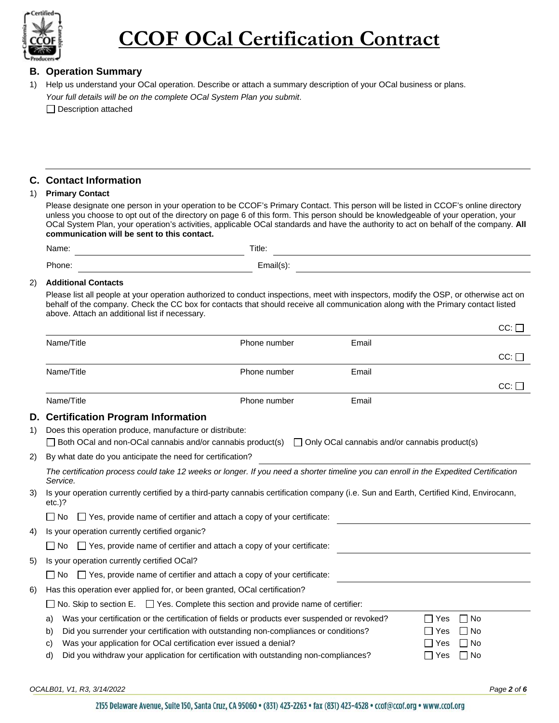

#### **B. Operation Summary**

1) Help us understand your OCal operation. Describe or attach a summary description of your OCal business or plans. *Your full details will be on the complete OCal System Plan you submit*.

Description attached

#### **C. Contact Information**

#### 1) **Primary Contact**

Please designate one person in your operation to be CCOF's Primary Contact. This person will be listed in CCOF's online directory unless you choose to opt out of the directory on page 6 of this form. This person should be knowledgeable of your operation, your OCal System Plan, your operation's activities, applicable OCal standards and have the authority to act on behalf of the company. **All communication will be sent to this contact.**

| Name. | Title: |  |
|-------|--------|--|
| hone. |        |  |

#### 2) **Additional Contacts**

Please list all people at your operation authorized to conduct inspections, meet with inspectors, modify the OSP, or otherwise act on behalf of the company. Check the CC box for contacts that should receive all communication along with the Primary contact listed above. Attach an additional list if necessary.

|    |                                                                                                                                                   |              |                                                      | ∽⊶ ∟                    |
|----|---------------------------------------------------------------------------------------------------------------------------------------------------|--------------|------------------------------------------------------|-------------------------|
|    | Name/Title                                                                                                                                        | Phone number | Email                                                |                         |
|    |                                                                                                                                                   |              |                                                      | $CC:$ $\Box$            |
|    | Name/Title                                                                                                                                        | Phone number | Email                                                |                         |
|    |                                                                                                                                                   |              |                                                      | CC:                     |
|    | Name/Title                                                                                                                                        | Phone number | Email                                                |                         |
| D. | <b>Certification Program Information</b>                                                                                                          |              |                                                      |                         |
| 1) | Does this operation produce, manufacture or distribute:                                                                                           |              |                                                      |                         |
|    | $\Box$ Both OCal and non-OCal cannabis and/or cannabis product(s)                                                                                 |              | $\Box$ Only OCal cannabis and/or cannabis product(s) |                         |
| 2) | By what date do you anticipate the need for certification?                                                                                        |              |                                                      |                         |
|    | The certification process could take 12 weeks or longer. If you need a shorter timeline you can enroll in the Expedited Certification<br>Service. |              |                                                      |                         |
| 3) | Is your operation currently certified by a third-party cannabis certification company (i.e. Sun and Earth, Certified Kind, Envirocann,<br>etc.)?  |              |                                                      |                         |
|    | $\Box$ Yes, provide name of certifier and attach a copy of your certificate:<br>l No                                                              |              |                                                      |                         |
| 4) | Is your operation currently certified organic?                                                                                                    |              |                                                      |                         |
|    | □ Yes, provide name of certifier and attach a copy of your certificate:<br>l INo                                                                  |              |                                                      |                         |
| 5) | Is your operation currently certified OCal?                                                                                                       |              |                                                      |                         |
|    | $\Box$ Yes, provide name of certifier and attach a copy of your certificate:<br>l No                                                              |              |                                                      |                         |
| 6) | Has this operation ever applied for, or been granted, OCal certification?                                                                         |              |                                                      |                         |
|    | No. Skip to section $E.$ $\Box$ Yes. Complete this section and provide name of certifier:                                                         |              |                                                      |                         |
|    | Was your certification or the certification of fields or products ever suspended or revoked?<br>a)                                                |              |                                                      | ∃ No<br>$\Box$ Yes      |
|    | Did you surrender your certification with outstanding non-compliances or conditions?<br>b)                                                        |              |                                                      | $\Box$ No<br>∣ Yes      |
|    | Was your application for OCal certification ever issued a denial?<br>C)                                                                           |              |                                                      | $\Box$ No<br>$\Box$ Yes |
|    | Did you withdraw your application for certification with outstanding non-compliances?<br>d)                                                       |              |                                                      | $\Box$ Yes<br>□ No      |
|    |                                                                                                                                                   |              |                                                      |                         |

*OCALB01, V1, R3, 3/14/2022 Page 2 of 6*

 $CC: \Box$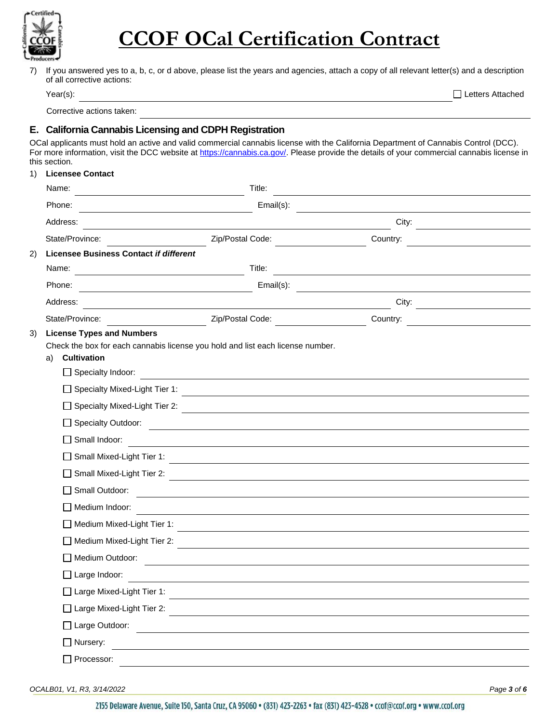

7) If you answered yes to a, b, c, or d above, please list the years and agencies, attach a copy of all relevant letter(s) and a description of all corrective actions:

Corrective actions taken:

#### **E. California Cannabis Licensing and CDPH Registration**

OCal applicants must hold an active and valid commercial cannabis license with the California Department of Cannabis Control (DCC). For more information, visit the DCC website at [https://cannabis.ca.gov/.](https://cannabis.ca.gov/) Please provide the details of your commercial cannabis license in this section.

#### 1) **Licensee Contact**

|    | Name:                                                                              | Title:                                                                                                                          |          |  |
|----|------------------------------------------------------------------------------------|---------------------------------------------------------------------------------------------------------------------------------|----------|--|
|    | Phone:                                                                             | Email(s):                                                                                                                       |          |  |
|    | Address:                                                                           |                                                                                                                                 | City:    |  |
|    | State/Province:                                                                    | Zip/Postal Code:                                                                                                                | Country: |  |
| 2) | Licensee Business Contact if different                                             |                                                                                                                                 |          |  |
|    | Name:                                                                              | Title:<br><u> 1989 - Johann Barn, mars ann an t-Amhainn an t-Amhainn an t-Amhainn an t-Amhainn an t-Amhainn an t-Amhainn an</u> |          |  |
|    | Phone:                                                                             | Email(s):                                                                                                                       |          |  |
|    | Address:                                                                           |                                                                                                                                 | City:    |  |
|    | State/Province:                                                                    | Zip/Postal Code:                                                                                                                | Country: |  |
|    | <b>Cultivation</b><br>a)<br>□ Specialty Indoor:<br>□ Specialty Mixed-Light Tier 1: | Check the box for each cannabis license you hold and list each license number.                                                  |          |  |
|    | □ Specialty Mixed-Light Tier 2:                                                    |                                                                                                                                 |          |  |
|    | Specialty Outdoor:                                                                 |                                                                                                                                 |          |  |
|    | $\Box$ Small Indoor:                                                               |                                                                                                                                 |          |  |
|    | □ Small Mixed-Light Tier 1:                                                        |                                                                                                                                 |          |  |
|    | Small Mixed-Light Tier 2:                                                          |                                                                                                                                 |          |  |
|    | Small Outdoor:<br>$\mathsf{L}$                                                     | <u> 1980 - Jan Samuel Barbara, margaret e populari e populari e populari e populari e populari e populari e popu</u>            |          |  |
|    | Medium Indoor:                                                                     |                                                                                                                                 |          |  |
|    | Medium Mixed-Light Tier 1:                                                         | <u> 1989 - Johann Stoff, deutscher Stoffen und der Stoffen und der Stoffen und der Stoffen und der Stoffen und der</u>          |          |  |
|    | Medium Mixed-Light Tier 2:                                                         |                                                                                                                                 |          |  |
|    | Medium Outdoor:                                                                    |                                                                                                                                 |          |  |
|    | $\Box$ Large Indoor:                                                               |                                                                                                                                 |          |  |
|    | □ Large Mixed-Light Tier 1:                                                        |                                                                                                                                 |          |  |
|    | □ Large Mixed-Light Tier 2:                                                        |                                                                                                                                 |          |  |
|    | □ Large Outdoor:                                                                   |                                                                                                                                 |          |  |
|    | □ Nursery:                                                                         |                                                                                                                                 |          |  |
|    | Processor:                                                                         |                                                                                                                                 |          |  |
|    |                                                                                    |                                                                                                                                 |          |  |

*OCALB01, V1, R3, 3/14/2022 Page 3 of 6*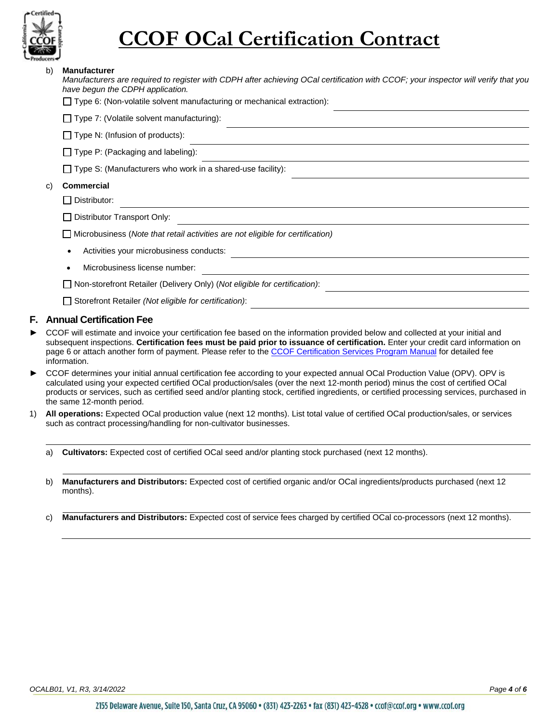

| b) | <b>Manufacturer</b><br>Manufacturers are required to register with CDPH after achieving OCal certification with CCOF; your inspector will verify that you<br>have begun the CDPH application.<br>$\Box$ Type 6: (Non-volatile solvent manufacturing or mechanical extraction): |
|----|--------------------------------------------------------------------------------------------------------------------------------------------------------------------------------------------------------------------------------------------------------------------------------|
|    | $\Box$ Type 7: (Volatile solvent manufacturing):                                                                                                                                                                                                                               |
|    | $\Box$ Type N: (Infusion of products):                                                                                                                                                                                                                                         |
|    | $\Box$ Type P: (Packaging and labeling):                                                                                                                                                                                                                                       |
|    | $\Box$ Type S: (Manufacturers who work in a shared-use facility):                                                                                                                                                                                                              |
| C) | <b>Commercial</b>                                                                                                                                                                                                                                                              |
|    | Distributor:                                                                                                                                                                                                                                                                   |
|    | Distributor Transport Only:                                                                                                                                                                                                                                                    |
|    | Microbusiness (Note that retail activities are not eligible for certification)                                                                                                                                                                                                 |
|    | Activities your microbusiness conducts:<br>٠                                                                                                                                                                                                                                   |
|    | Microbusiness license number:                                                                                                                                                                                                                                                  |
|    | Non-storefront Retailer (Delivery Only) (Not eligible for certification):                                                                                                                                                                                                      |

Storefront Retailer *(Not eligible for certification)*:

#### **F. Annual Certification Fee**

- CCOF will estimate and invoice your certification fee based on the information provided below and collected at your initial and subsequent inspections. **Certification fees must be paid prior to issuance of certification.** Enter your credit card information on page 6 or attach another form of payment. Please refer to the CCOF Certification Services Program Manual for detailed fee information.
- ► CCOF determines your initial annual certification fee according to your expected annual OCal Production Value (OPV). OPV is calculated using your expected certified OCal production/sales (over the next 12-month period) minus the cost of certified OCal products or services, such as certified seed and/or planting stock, certified ingredients, or certified processing services, purchased in the same 12-month period.
- 1) **All operations:** Expected OCal production value (next 12 months). List total value of certified OCal production/sales, or services such as contract processing/handling for non-cultivator businesses.

a) **Cultivators:** Expected cost of certified OCal seed and/or planting stock purchased (next 12 months).

- b) **Manufacturers and Distributors:** Expected cost of certified organic and/or OCal ingredients/products purchased (next 12 months).
- c) **Manufacturers and Distributors:** Expected cost of service fees charged by certified OCal co-processors (next 12 months).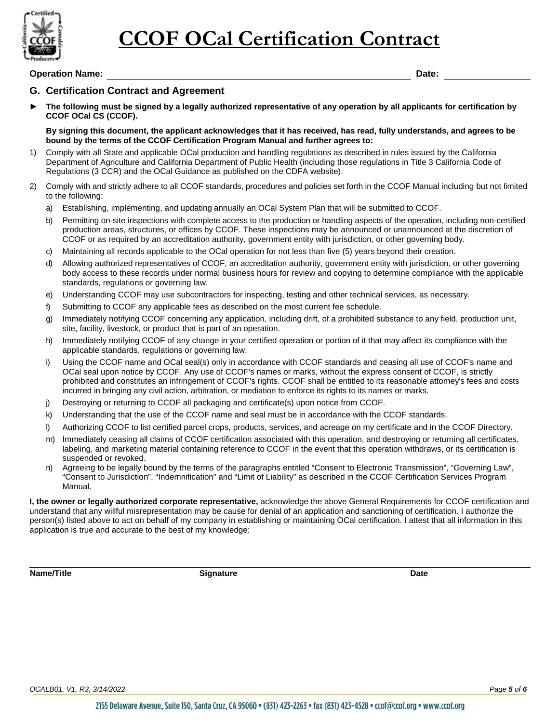

#### **Operation Name: Date:**

#### **G. Certification Contract and Agreement**

► **The following must be signed by a legally authorized representative of any operation by all applicants for certification by CCOF OCal CS (CCOF).**

**By signing this document, the applicant acknowledges that it has received, has read, fully understands, and agrees to be bound by the terms of the CCOF Certification Program Manual and further agrees to:**

- 1) Comply with all State and applicable OCal production and handling regulations as described in rules issued by the California Department of Agriculture and California Department of Public Health (including those regulations in Title 3 California Code of Regulations (3 CCR) and the OCal Guidance as published on the CDFA website).
- 2) Comply with and strictly adhere to all CCOF standards, procedures and policies set forth in the CCOF Manual including but not limited to the following:
	- a) Establishing, implementing, and updating annually an OCal System Plan that will be submitted to CCOF.
	- b) Permitting on-site inspections with complete access to the production or handling aspects of the operation, including non-certified production areas, structures, or offices by CCOF. These inspections may be announced or unannounced at the discretion of CCOF or as required by an accreditation authority, government entity with jurisdiction, or other governing body.
	- c) Maintaining all records applicable to the OCal operation for not less than five (5) years beyond their creation.
	- d) Allowing authorized representatives of CCOF, an accreditation authority, government entity with jurisdiction, or other governing body access to these records under normal business hours for review and copying to determine compliance with the applicable standards, regulations or governing law.
	- e) Understanding CCOF may use subcontractors for inspecting, testing and other technical services, as necessary.
	- f) Submitting to CCOF any applicable fees as described on the most current fee schedule.
	- g) Immediately notifying CCOF concerning any application, including drift, of a prohibited substance to any field, production unit, site, facility, livestock, or product that is part of an operation.
	- h) Immediately notifying CCOF of any change in your certified operation or portion of it that may affect its compliance with the applicable standards, regulations or governing law.
	- i) Using the CCOF name and OCal seal(s) only in accordance with CCOF standards and ceasing all use of CCOF's name and OCal seal upon notice by CCOF. Any use of CCOF's names or marks, without the express consent of CCOF, is strictly prohibited and constitutes an infringement of CCOF's rights. CCOF shall be entitled to its reasonable attorney's fees and costs incurred in bringing any civil action, arbitration, or mediation to enforce its rights to its names or marks.
	- j) Destroying or returning to CCOF all packaging and certificate(s) upon notice from CCOF.
	- k) Understanding that the use of the CCOF name and seal must be in accordance with the CCOF standards.
	- l) Authorizing CCOF to list certified parcel crops, products, services, and acreage on my certificate and in the CCOF Directory.
	- m) Immediately ceasing all claims of CCOF certification associated with this operation, and destroying or returning all certificates, labeling, and marketing material containing reference to CCOF in the event that this operation withdraws, or its certification is suspended or revoked.
	- n) Agreeing to be legally bound by the terms of the paragraphs entitled "Consent to Electronic Transmission", "Governing Law", "Consent to Jurisdiction", "Indemnification" and "Limit of Liability" as described in the CCOF Certification Services Program Manual.

**I, the owner or legally authorized corporate representative,** acknowledge the above General Requirements for CCOF certification and understand that any willful misrepresentation may be cause for denial of an application and sanctioning of certification. I authorize the person(s) listed above to act on behalf of my company in establishing or maintaining OCal certification. I attest that all information in this application is true and accurate to the best of my knowledge:

**Name/Title Signature Date**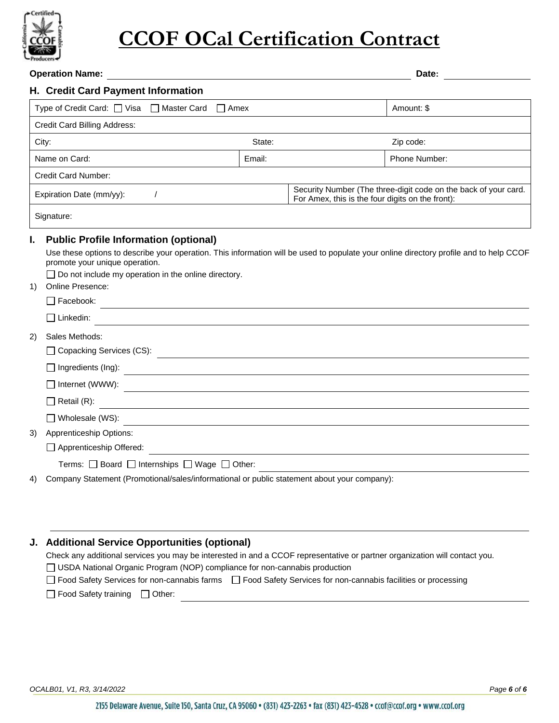

|            | <b>Operation Name:</b>                                                                                                                                                                                                                                                                                                          |        |                                                                                                                                                                                             | Date:                                                           |
|------------|---------------------------------------------------------------------------------------------------------------------------------------------------------------------------------------------------------------------------------------------------------------------------------------------------------------------------------|--------|---------------------------------------------------------------------------------------------------------------------------------------------------------------------------------------------|-----------------------------------------------------------------|
|            | H. Credit Card Payment Information                                                                                                                                                                                                                                                                                              |        |                                                                                                                                                                                             |                                                                 |
|            | Type of Credit Card: □ Visa □ Master Card □ Amex                                                                                                                                                                                                                                                                                |        |                                                                                                                                                                                             | Amount: \$                                                      |
|            | Credit Card Billing Address:                                                                                                                                                                                                                                                                                                    |        |                                                                                                                                                                                             |                                                                 |
| City:      |                                                                                                                                                                                                                                                                                                                                 | State: |                                                                                                                                                                                             | Zip code:                                                       |
|            | Name on Card:                                                                                                                                                                                                                                                                                                                   | Email: |                                                                                                                                                                                             | Phone Number:                                                   |
|            | Credit Card Number:                                                                                                                                                                                                                                                                                                             |        |                                                                                                                                                                                             |                                                                 |
|            | Expiration Date (mm/yy):<br>$\prime$                                                                                                                                                                                                                                                                                            |        | For Amex, this is the four digits on the front):                                                                                                                                            | Security Number (The three-digit code on the back of your card. |
| Signature: |                                                                                                                                                                                                                                                                                                                                 |        |                                                                                                                                                                                             |                                                                 |
| ı.<br>1)   | <b>Public Profile Information (optional)</b><br>Use these options to describe your operation. This information will be used to populate your online directory profile and to help CCOF<br>promote your unique operation.<br>$\Box$ Do not include my operation in the online directory.<br>Online Presence:<br>$\Box$ Facebook: |        |                                                                                                                                                                                             |                                                                 |
|            | $\Box$ Linkedin:                                                                                                                                                                                                                                                                                                                |        |                                                                                                                                                                                             |                                                                 |
| 2)         | Sales Methods:<br>□ Copacking Services (CS):                                                                                                                                                                                                                                                                                    |        |                                                                                                                                                                                             |                                                                 |
|            | $\Box$ Ingredients (Ing):                                                                                                                                                                                                                                                                                                       |        | <u> 1989 - Andrea Station Barbara, amerikan personal di sebagai personal di sebagai personal di sebagai personal </u><br><u> 1989 - Andrea Station Barbara, amerikan personal (h. 1989)</u> |                                                                 |
|            | □ Internet (WWW):<br><u> 1989 - Jan Sterling von Berling von Berling von Berling von Berling von Berling von Berling von Berling von B</u>                                                                                                                                                                                      |        |                                                                                                                                                                                             |                                                                 |
|            | $\Box$ Retail (R):                                                                                                                                                                                                                                                                                                              |        |                                                                                                                                                                                             |                                                                 |
|            | $\Box$ Wholesale (WS):                                                                                                                                                                                                                                                                                                          |        |                                                                                                                                                                                             |                                                                 |
| 3)         | Apprenticeship Options:<br>Apprenticeship Offered:                                                                                                                                                                                                                                                                              |        |                                                                                                                                                                                             |                                                                 |
|            | Terms: $\Box$ Board $\Box$ Internships $\Box$ Wage $\Box$ Other:                                                                                                                                                                                                                                                                |        |                                                                                                                                                                                             |                                                                 |
| 4)         | Company Statement (Promotional/sales/informational or public statement about your company):                                                                                                                                                                                                                                     |        |                                                                                                                                                                                             |                                                                 |
| J.         | <b>Additional Service Opportunities (optional)</b><br>Check any additional services you may be interested in and a CCOF representative or partner organization will contact you.                                                                                                                                                |        |                                                                                                                                                                                             |                                                                 |

### USDA National Organic Program (NOP) compliance for non-cannabis production

| $\Box$ OUDA Malional Organic Frogram (NOF) compilance for non-califiably production |                                                                                                                |  |  |  |
|-------------------------------------------------------------------------------------|----------------------------------------------------------------------------------------------------------------|--|--|--|
|                                                                                     | □ Food Safety Services for non-cannabis farms □ Food Safety Services for non-cannabis facilities or processing |  |  |  |
| $\Box$ Food Safety training $\Box$ Other:                                           |                                                                                                                |  |  |  |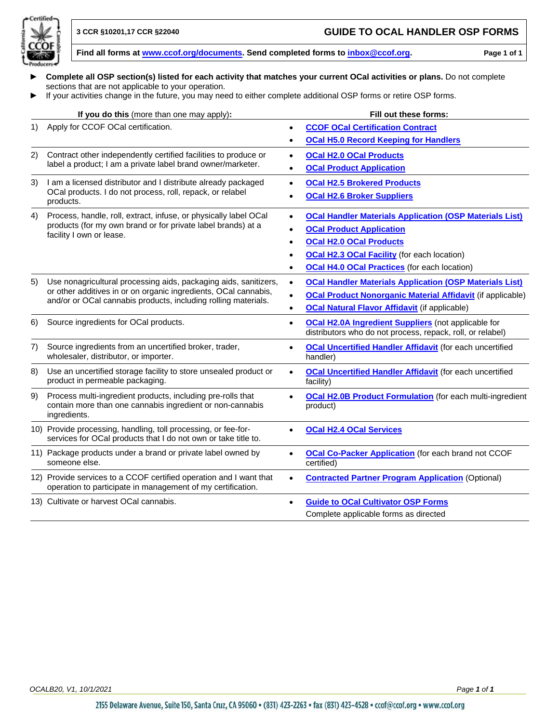

- ► **Complete all OSP section(s) listed for each activity that matches your current OCal activities or plans.** Do not complete sections that are not applicable to your operation.
- ► If your activities change in the future, you may need to either complete additional OSP forms or retire OSP forms.

|                      | If you do this (more than one may apply):                                                                                                | Fill out these forms:                                                                                                                 |
|----------------------|------------------------------------------------------------------------------------------------------------------------------------------|---------------------------------------------------------------------------------------------------------------------------------------|
| 1)                   | Apply for CCOF OCal certification.                                                                                                       | <b>CCOF OCal Certification Contract</b><br>$\bullet$                                                                                  |
|                      |                                                                                                                                          | <b>OCal H5.0 Record Keeping for Handlers</b>                                                                                          |
| 2)                   | Contract other independently certified facilities to produce or                                                                          | <b>OCal H2.0 OCal Products</b><br>$\bullet$                                                                                           |
|                      | label a product; I am a private label brand owner/marketer.                                                                              | <b>OCal Product Application</b>                                                                                                       |
| 3)                   | I am a licensed distributor and I distribute already packaged                                                                            | <b>OCal H2.5 Brokered Products</b><br>$\bullet$                                                                                       |
|                      | OCal products. I do not process, roll, repack, or relabel<br>products.                                                                   | <b>OCal H2.6 Broker Suppliers</b>                                                                                                     |
| 4)                   | Process, handle, roll, extract, infuse, or physically label OCal                                                                         | <b>OCal Handler Materials Application (OSP Materials List)</b><br>$\bullet$                                                           |
|                      | products (for my own brand or for private label brands) at a<br>facility I own or lease.                                                 | <b>OCal Product Application</b>                                                                                                       |
|                      |                                                                                                                                          | <b>OCal H2.0 OCal Products</b><br>$\bullet$                                                                                           |
|                      |                                                                                                                                          | <b>OCal H2.3 OCal Facility (for each location)</b>                                                                                    |
|                      |                                                                                                                                          | <b>OCal H4.0 OCal Practices</b> (for each location)                                                                                   |
| 5)                   | Use nonagricultural processing aids, packaging aids, sanitizers,                                                                         | <b>OCal Handler Materials Application (OSP Materials List)</b><br>$\bullet$                                                           |
| 6)<br>7)<br>8)<br>9) | or other additives in or on organic ingredients, OCal cannabis,<br>and/or or OCal cannabis products, including rolling materials.        | <b>OCal Product Nonorganic Material Affidavit (if applicable)</b><br>$\bullet$                                                        |
|                      |                                                                                                                                          | <b>OCal Natural Flavor Affidavit (if applicable)</b><br>$\bullet$                                                                     |
|                      | Source ingredients for OCal products.                                                                                                    | <b>OCal H2.0A Ingredient Suppliers</b> (not applicable for<br>$\bullet$<br>distributors who do not process, repack, roll, or relabel) |
|                      | Source ingredients from an uncertified broker, trader,<br>wholesaler, distributor, or importer.                                          | <b>OCal Uncertified Handler Affidavit (for each uncertified</b><br>$\bullet$<br>handler)                                              |
|                      | Use an uncertified storage facility to store unsealed product or<br>product in permeable packaging.                                      | <b>OCal Uncertified Handler Affidavit (for each uncertified</b><br>$\bullet$<br>facility)                                             |
|                      | Process multi-ingredient products, including pre-rolls that<br>contain more than one cannabis ingredient or non-cannabis<br>ingredients. | <b>OCal H2.0B Product Formulation</b> (for each multi-ingredient<br>product)                                                          |
|                      | 10) Provide processing, handling, toll processing, or fee-for-<br>services for OCal products that I do not own or take title to.         | <b>OCal H2.4 OCal Services</b>                                                                                                        |
|                      | 11) Package products under a brand or private label owned by<br>someone else.                                                            | <b>OCal Co-Packer Application</b> (for each brand not CCOF<br>$\bullet$<br>certified)                                                 |
|                      | 12) Provide services to a CCOF certified operation and I want that<br>operation to participate in management of my certification.        | <b>Contracted Partner Program Application (Optional)</b>                                                                              |
|                      | 13) Cultivate or harvest OCal cannabis.                                                                                                  | <b>Guide to OCal Cultivator OSP Forms</b>                                                                                             |
|                      |                                                                                                                                          | Complete applicable forms as directed                                                                                                 |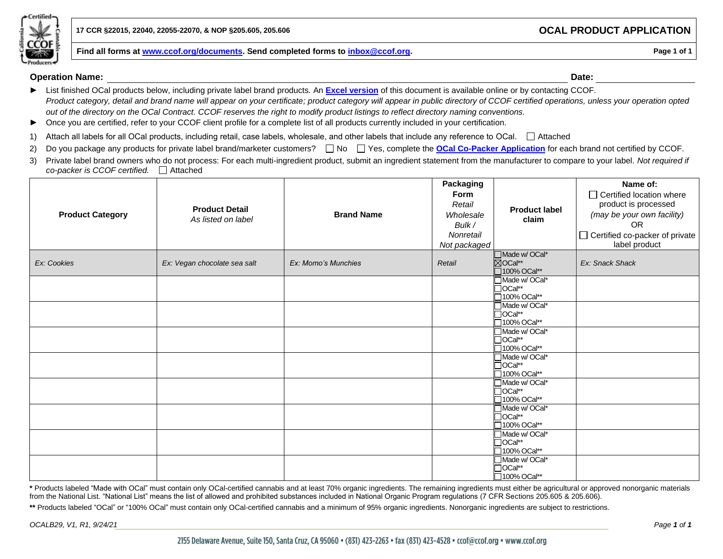

#### **Operation Name: Date:**

- ► List finished OCal products below, including private label brand products*.* An **[Excel version](http://www.ccof.org/resource/ocal-product-application)** of this document is available online or by contacting CCOF. *Product category, detail and brand name will appear on your certificate; product category will appear in public directory of CCOF certified operations, unless your operation opted out of the directory on the OCal Contract. CCOF reserves the right to modify product listings to reflect directory naming conventions.*
- ► Once you are certified, refer to your CCOF client profile for a complete list of all products currently included in your certification.
- 1) Attach all labels for all OCal products, including retail, case labels, wholesale, and other labels that include any reference to OCal.  $\Box$  Attached
- 2) Do you package any products for private label brand/marketer customers? No Ass, complete the **[OCal Co-Packer](https://www.ccof.org/resource/ocal-co-packer-application) Application** for each brand not certified by CCOF.
- 3) Private label brand owners who do not process: For each multi-ingredient product, submit an ingredient statement from the manufacturer to compare to your label. *Not required if co-packer is CCOF certified.* Attached

| <b>Product Category</b> | <b>Product Detail</b><br>As listed on label | <b>Brand Name</b>   | Packaging<br>Form<br>Retail<br>Wholesale<br>Bulk /<br>Nonretail<br>Not packaged | <b>Product label</b><br>claim                        | Name of:<br>□ Certified location where<br>product is processed<br>(may be your own facility)<br><b>OR</b><br>$\Box$ Certified co-packer of private<br>label product |
|-------------------------|---------------------------------------------|---------------------|---------------------------------------------------------------------------------|------------------------------------------------------|---------------------------------------------------------------------------------------------------------------------------------------------------------------------|
| Ex: Cookies             | Ex: Vegan chocolate sea salt                | Ex: Momo's Munchies | Retail                                                                          | ■Made w/ OCal*<br>⊠OCal**<br>□100% OCal**            | Ex: Snack Shack                                                                                                                                                     |
|                         |                                             |                     |                                                                                 | Made w/OCal*<br>$\Box$ OCal**<br>□100% OCal**        |                                                                                                                                                                     |
|                         |                                             |                     |                                                                                 | Made w/OCal*<br>$\Box$ OCal**<br>□100% OCal**        |                                                                                                                                                                     |
|                         |                                             |                     |                                                                                 | Made w/OCal*<br>$\Box$ OCal**<br>□100% OCal**        |                                                                                                                                                                     |
|                         |                                             |                     |                                                                                 | Made w/ OCal*<br>$\Box$ OCal**<br>□100% OCal**       |                                                                                                                                                                     |
|                         |                                             |                     |                                                                                 | Made w/ OCal*<br>$\Box$ OCal**<br>□100% OCal**       |                                                                                                                                                                     |
|                         |                                             |                     |                                                                                 | Made w/OCal*<br>$\Box$ OCal**<br>□100% OCal**        |                                                                                                                                                                     |
|                         |                                             |                     |                                                                                 | <b>Nade w/ OCal*</b><br>$\Box$ OCal**<br>100% OCal** |                                                                                                                                                                     |
|                         |                                             |                     |                                                                                 | Made w/ OCal*<br>$\Box$ OCal**<br>□100% OCal**       |                                                                                                                                                                     |

**\*** Products labeled "Made with OCal" must contain only OCal-certified cannabis and at least 70% organic ingredients. The remaining ingredients must either be agricultural or approved nonorganic materials from the National List. "National List" means the list of allowed and prohibited substances included in National Organic Program regulations (7 CFR Sections 205.605 & 205.606).

\*\* Products labeled "OCal" or "100% OCal" must contain only OCal-certified cannabis and a minimum of 95% organic ingredients. Nonorganic ingredients are subject to restrictions.

*OCALB29, V1, R1, 9/24/21 Page 1 of 1*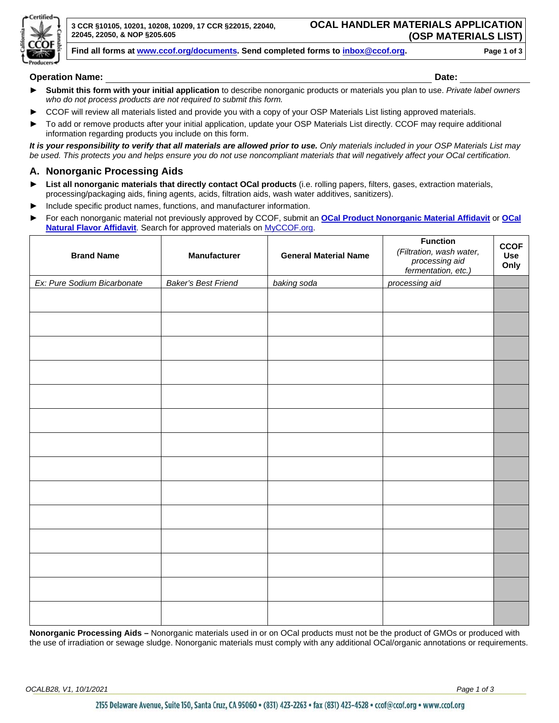

#### **Operation Name: Date:**

- ► **Submit this form with your initial application** to describe nonorganic products or materials you plan to use. *Private label owners who do not process products are not required to submit this form.*
- CCOF will review all materials listed and provide you with a copy of your OSP Materials List listing approved materials.
- ► To add or remove products after your initial application, update your OSP Materials List directly. CCOF may require additional information regarding products you include on this form.

*It is your responsibility to verify that all materials are allowed prior to use. Only materials included in your OSP Materials List may be used. This protects you and helps ensure you do not use noncompliant materials that will negatively affect your OCal certification.*

#### **A. Nonorganic Processing Aids**

- **► List all nonorganic materials that directly contact OCal products** (i.e. rolling papers, filters, gases, extraction materials, processing/packaging aids, fining agents, acids, filtration aids, wash water additives, sanitizers).
- Include specific product names, functions, and manufacturer information.
- ► For each nonorganic material not previously approved by CCOF, submit an **[OCal Product Nonorganic Material Affidavit](https://www.ccof.org/resource/ocal-product-nonorganic-material-affidavit)** or **[OCal](https://www.ccof.org/resource/ocal-natural-flavor-affidavit)  [Natural Flavor Affidavit](https://www.ccof.org/resource/ocal-natural-flavor-affidavit)**. Search for approved materials on [MyCCOF.org.](http://www.myccof.org/)

| <b>Brand Name</b>           | Manufacturer               | <b>General Material Name</b> | <b>Function</b><br>(Filtration, wash water,<br>processing aid<br>fermentation, etc.) | <b>CCOF</b><br><b>Use</b><br>Only |
|-----------------------------|----------------------------|------------------------------|--------------------------------------------------------------------------------------|-----------------------------------|
| Ex: Pure Sodium Bicarbonate | <b>Baker's Best Friend</b> | baking soda                  | processing aid                                                                       |                                   |
|                             |                            |                              |                                                                                      |                                   |
|                             |                            |                              |                                                                                      |                                   |
|                             |                            |                              |                                                                                      |                                   |
|                             |                            |                              |                                                                                      |                                   |
|                             |                            |                              |                                                                                      |                                   |
|                             |                            |                              |                                                                                      |                                   |
|                             |                            |                              |                                                                                      |                                   |
|                             |                            |                              |                                                                                      |                                   |
|                             |                            |                              |                                                                                      |                                   |
|                             |                            |                              |                                                                                      |                                   |
|                             |                            |                              |                                                                                      |                                   |
|                             |                            |                              |                                                                                      |                                   |
|                             |                            |                              |                                                                                      |                                   |
|                             |                            |                              |                                                                                      |                                   |

**Nonorganic Processing Aids –** Nonorganic materials used in or on OCal products must not be the product of GMOs or produced with the use of irradiation or sewage sludge. Nonorganic materials must comply with any additional OCal/organic annotations or requirements.

*OCALB28, V1, 10/1/2021 Page 1 of 3*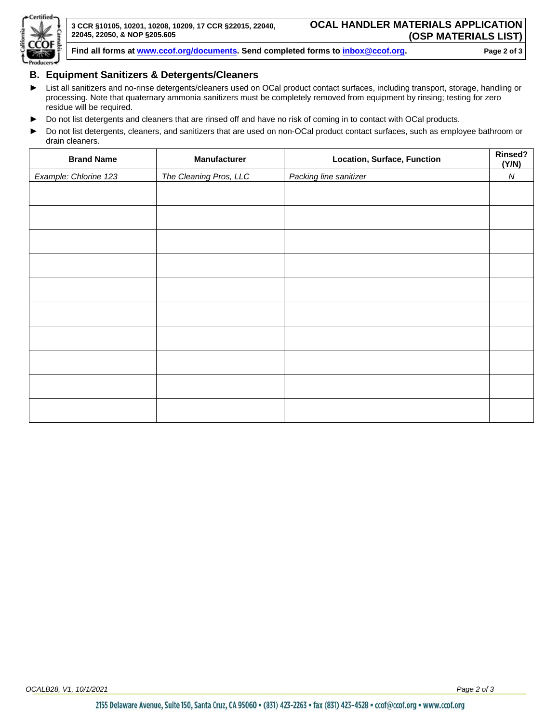

#### **B. Equipment Sanitizers & Detergents/Cleaners**

- ► List all sanitizers and no-rinse detergents/cleaners used on OCal product contact surfaces, including transport, storage, handling or processing. Note that quaternary ammonia sanitizers must be completely removed from equipment by rinsing; testing for zero residue will be required.
- ► Do not list detergents and cleaners that are rinsed off and have no risk of coming in to contact with OCal products.
- ► Do not list detergents, cleaners, and sanitizers that are used on non-OCal product contact surfaces, such as employee bathroom or drain cleaners.

| <b>Brand Name</b>     | Manufacturer           | <b>Location, Surface, Function</b> | Rinsed?<br>(Y/N) |
|-----------------------|------------------------|------------------------------------|------------------|
| Example: Chlorine 123 | The Cleaning Pros, LLC | Packing line sanitizer             | ${\cal N}$       |
|                       |                        |                                    |                  |
|                       |                        |                                    |                  |
|                       |                        |                                    |                  |
|                       |                        |                                    |                  |
|                       |                        |                                    |                  |
|                       |                        |                                    |                  |
|                       |                        |                                    |                  |
|                       |                        |                                    |                  |
|                       |                        |                                    |                  |
|                       |                        |                                    |                  |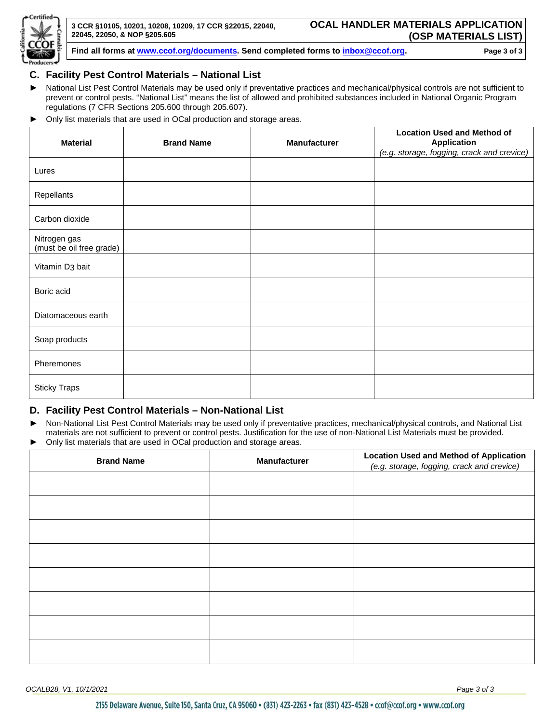

#### **C. Facility Pest Control Materials – National List**

- ► National List Pest Control Materials may be used only if preventative practices and mechanical/physical controls are not sufficient to prevent or control pests. "National List" means the list of allowed and prohibited substances included in National Organic Program regulations (7 CFR Sections 205.600 through 205.607).
- ► Only list materials that are used in OCal production and storage areas.

| <b>Material</b>                          | <b>Brand Name</b> | <b>Manufacturer</b> | <b>Location Used and Method of</b><br><b>Application</b> |
|------------------------------------------|-------------------|---------------------|----------------------------------------------------------|
|                                          |                   |                     | (e.g. storage, fogging, crack and crevice)               |
| Lures                                    |                   |                     |                                                          |
| Repellants                               |                   |                     |                                                          |
| Carbon dioxide                           |                   |                     |                                                          |
| Nitrogen gas<br>(must be oil free grade) |                   |                     |                                                          |
| Vitamin D <sub>3</sub> bait              |                   |                     |                                                          |
| Boric acid                               |                   |                     |                                                          |
| Diatomaceous earth                       |                   |                     |                                                          |
| Soap products                            |                   |                     |                                                          |
| Pheremones                               |                   |                     |                                                          |
| <b>Sticky Traps</b>                      |                   |                     |                                                          |

#### **D. Facility Pest Control Materials – Non-National List**

- ► Non-National List Pest Control Materials may be used only if preventative practices, mechanical/physical controls, and National List materials are not sufficient to prevent or control pests. Justification for the use of non-National List Materials must be provided.
- Only list materials that are used in OCal production and storage areas.

| <b>Brand Name</b> | <b>Manufacturer</b> | <b>Location Used and Method of Application</b><br>(e.g. storage, fogging, crack and crevice) |
|-------------------|---------------------|----------------------------------------------------------------------------------------------|
|                   |                     |                                                                                              |
|                   |                     |                                                                                              |
|                   |                     |                                                                                              |
|                   |                     |                                                                                              |
|                   |                     |                                                                                              |
|                   |                     |                                                                                              |
|                   |                     |                                                                                              |
|                   |                     |                                                                                              |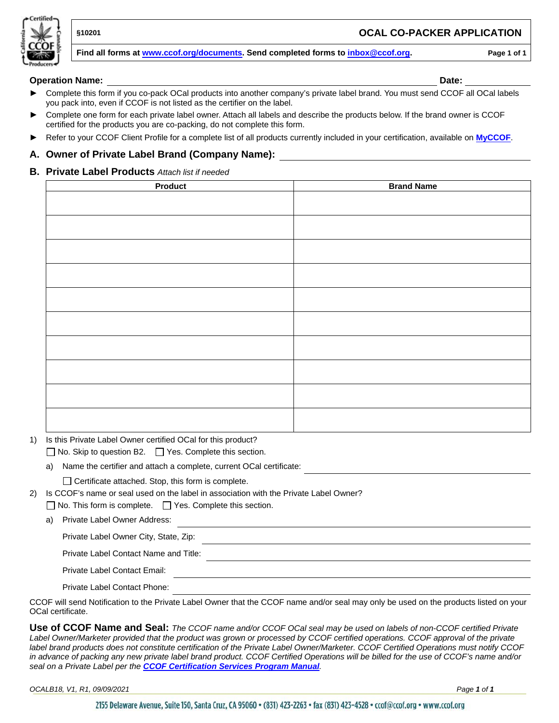

#### **§10201 OCAL CO-PACKER APPLICATION**

**Find all forms at [www.ccof.org/documents.](https://www.ccof.org/documents) Send completed forms to inbox@ccof.org. Page 1 of 1**

- Complete this form if you co-pack OCal products into another company's private label brand. You must send CCOF all OCal labels you pack into, even if CCOF is not listed as the certifier on the label.
- Complete one form for each private label owner. Attach all labels and describe the products below. If the brand owner is CCOF certified for the products you are co-packing, do not complete this form.
- ► Refer to your CCOF Client Profile for a complete list of all products currently included in your certification, available on **[MyCCOF](http://www.myccof.org/)**.

#### **A. Owner of Private Label Brand (Company Name):**

#### **B. Private Label Products** *Attach list if needed*

| Product | <b>Brand Name</b> |
|---------|-------------------|
|         |                   |
|         |                   |
|         |                   |
|         |                   |
|         |                   |
|         |                   |
|         |                   |
|         |                   |
|         |                   |
|         |                   |
|         |                   |
|         |                   |
|         |                   |
|         |                   |
|         |                   |
|         |                   |
|         |                   |
|         |                   |
|         |                   |
|         |                   |

1) Is this Private Label Owner certified OCal for this product?

 $\Box$  No. Skip to question B2.  $\Box$  Yes. Complete this section.

a) Name the certifier and attach a complete, current OCal certificate:

 $\Box$  Certificate attached. Stop, this form is complete.

2) Is CCOF's name or seal used on the label in association with the Private Label Owner?

 $\Box$  No. This form is complete.  $\Box$  Yes. Complete this section.

a) Private Label Owner Address:

Private Label Owner City, State, Zip:

Private Label Contact Name and Title:

Private Label Contact Email:

Private Label Contact Phone:

CCOF will send Notification to the Private Label Owner that the CCOF name and/or seal may only be used on the products listed on your OCal certificate.

<u> 1980 - Johann Barn, mars ann an t-Amhain Aonaich an t-Aonaich an t-Aonaich ann an t-Aonaich ann an t-Aonaich</u>

**Use of CCOF Name and Seal:** *The CCOF name and/or CCOF OCal seal may be used on labels of non-CCOF certified Private Label Owner/Marketer provided that the product was grown or processed by CCOF certified operations. CCOF approval of the private label brand products does not constitute certification of the Private Label Owner/Marketer. CCOF Certified Operations must notify CCOF in advance of packing any new private label brand product. CCOF Certified Operations will be billed for the use of CCOF's name and/or seal on a Private Label per the CCOF [Certification Services Program](https://www.ccof.org/resource/ccof-certification-services-program-manual) Manual.* 

*OCALB18, V1, R1, 09/09/2021 Page 1 of 1*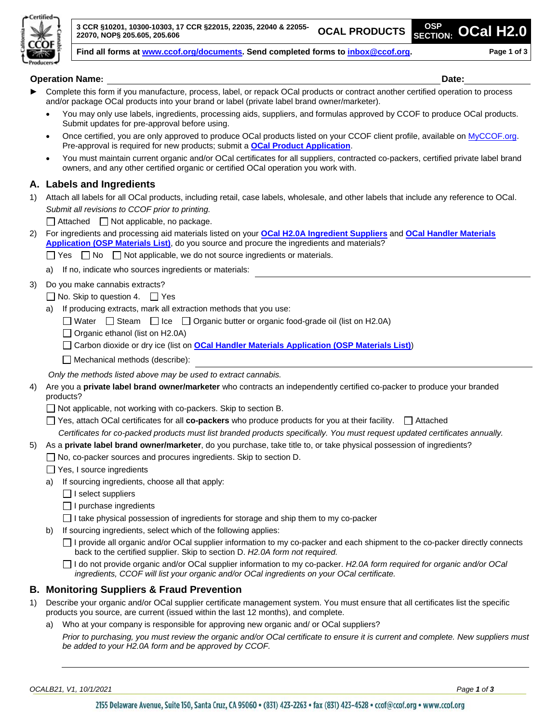

**Operation Name: Date:**

- Complete this form if you manufacture, process, label, or repack OCal products or contract another certified operation to process and/or package OCal products into your brand or label (private label brand owner/marketer).
	- You may only use labels, ingredients, processing aids, suppliers, and formulas approved by CCOF to produce OCal products. Submit updates for pre-approval before using.
	- Once certified, you are only approved to produce OCal products listed on your CCOF client profile, available on [MyCCOF.org.](https://www.ccof.org/log-myccof) Pre-approval is required for new products; submit a **[OCal Product Application](http://www.ccof.org/resource/ocal-product-application)**.
	- You must maintain current organic and/or OCal certificates for all suppliers, contracted co-packers, certified private label brand owners, and any other certified organic or certified OCal operation you work with.

#### **A. Labels and Ingredients**

1) Attach all labels for all OCal products, including retail, case labels, wholesale, and other labels that include any reference to OCal. *Submit all revisions to CCOF prior to printing.*

 $\Box$  Attached  $\Box$  Not applicable, no package.

- 2) For ingredients and processing aid materials listed on your **[OCal H2.0A Ingredient Suppliers](http://www.ccof.org/resource/ocal-h20a-ingredient-suppliers)** and **[OCal Handler Materials](https://www.ccof.org/resource/ocal-handler-materials-application-osp-materials-list)  [Application \(OSP Materials List\)](https://www.ccof.org/resource/ocal-handler-materials-application-osp-materials-list)**, do you source and procure the ingredients and materials?
	- $\Box$  Yes  $\Box$  No  $\Box$  Not applicable, we do not source ingredients or materials.
	- a) If no, indicate who sources ingredients or materials:
- 3) Do you make cannabis extracts?
	- $\Box$  No. Skip to question 4.  $\Box$  Yes
		- a) If producing extracts, mark all extraction methods that you use:
			- Water  $\Box$  Steam  $\Box$  Ice  $\Box$  Organic butter or organic food-grade oil (list on H2.0A)
			- $\Box$  Organic ethanol (list on H2.0A)
			- □ Carbon dioxide or dry ice (list on **[OCal Handler Materials Application \(OSP Materials List\)](https://www.ccof.org/resource/ocal-handler-materials-application-osp-materials-list)**)
			- $\Box$  Mechanical methods (describe):
		- *Only the methods listed above may be used to extract cannabis.*
- 4) Are you a **private label brand owner/marketer** who contracts an independently certified co-packer to produce your branded products?
	- Not applicable, not working with co-packers. Skip to section B.
	- □ Yes, attach OCal certificates for all **co-packers** who produce products for you at their facility. □ Attached
	- *Certificates for co-packed products must list branded products specifically. You must request updated certificates annually.*
- 5) As a **private label brand owner/marketer**, do you purchase, take title to, or take physical possession of ingredients?
	- □ No, co-packer sources and procures ingredients. Skip to section D.
	- Yes, I source ingredients
	- a) If sourcing ingredients, choose all that apply:
		- $\Box$  I select suppliers
		- $\Box$  I purchase ingredients
		- $\Box$  I take physical possession of ingredients for storage and ship them to my co-packer
	- b) If sourcing ingredients, select which of the following applies:
		- □ I provide all organic and/or OCal supplier information to my co-packer and each shipment to the co-packer directly connects back to the certified supplier. Skip to section D. *H2.0A form not required.*
		- I do not provide organic and/or OCal supplier information to my co-packer. *H2.0A form required for organic and/or OCal ingredients, CCOF will list your organic and/or OCal ingredients on your OCal certificate.*

#### **B. Monitoring Suppliers & Fraud Prevention**

- 1) Describe your organic and/or OCal supplier certificate management system. You must ensure that all certificates list the specific products you source, are current (issued within the last 12 months), and complete.
	- a) Who at your company is responsible for approving new organic and/ or OCal suppliers?

*Prior to purchasing, you must review the organic and/or OCal certificate to ensure it is current and complete. New suppliers must be added to your H2.0A form and be approved by CCOF.*

*OCALB21, V1, 10/1/2021 Page 1 of 3*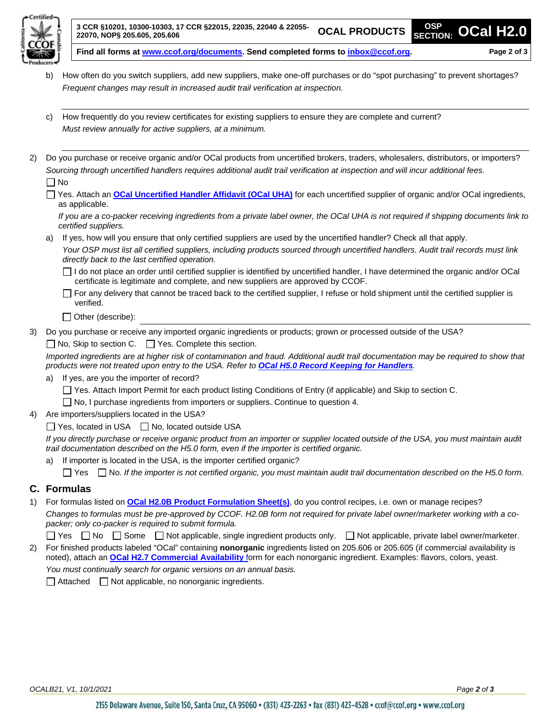

- b) How often do you switch suppliers, add new suppliers, make one-off purchases or do "spot purchasing" to prevent shortages? *Frequent changes may result in increased audit trail verification at inspection.*
- c) How frequently do you review certificates for existing suppliers to ensure they are complete and current? *Must review annually for active suppliers, at a minimum.*
- 2) Do you purchase or receive organic and/or OCal products from uncertified brokers, traders, wholesalers, distributors, or importers? *Sourcing through uncertified handlers requires additional audit trail verification at inspection and will incur additional fees.*  $\Box$  No

□ Yes. Attach an **[OCal Uncertified Handler Affidavit \(OCal UHA\)](https://www.ccof.org/resource/ocal-uncertified-handler-affidavit)** for each uncertified supplier of organic and/or OCal ingredients, as applicable.

*If you are a co-packer receiving ingredients from a private label owner, the OCal UHA is not required if shipping documents link to certified suppliers.*

a) If yes, how will you ensure that only certified suppliers are used by the uncertified handler? Check all that apply.

*Your OSP must list all certified suppliers, including products sourced through uncertified handlers. Audit trail records must link directly back to the last certified operation.*

I do not place an order until certified supplier is identified by uncertified handler, I have determined the organic and/or OCal certificate is legitimate and complete, and new suppliers are approved by CCOF.

For any delivery that cannot be traced back to the certified supplier, I refuse or hold shipment until the certified supplier is verified.

- $\Box$  Other (describe):
- 3) Do you purchase or receive any imported organic ingredients or products; grown or processed outside of the USA?  $\Box$  No, Skip to section C.  $\Box$  Yes. Complete this section.

*Imported ingredients are at higher risk of contamination and fraud. Additional audit trail documentation may be required to show that products were not treated upon entry to the USA. Refer to [OCal H5.0 Record Keeping for Handlers](http://www.ccof.org/resource/ocal-h50-record-keeping-handlers).*

- a) If yes, are you the importer of record?
	- Yes. Attach Import Permit for each product listing Conditions of Entry (if applicable) and Skip to section C.

□ No, I purchase ingredients from importers or suppliers. Continue to question 4.

4) Are importers/suppliers located in the USA?

 $\Box$  Yes, located in USA  $\Box$  No, located outside USA

*If you directly purchase or receive organic product from an importer or supplier located outside of the USA, you must maintain audit trail documentation described on the H5.0 form, even if the importer is certified organic.*

a) If importer is located in the USA, is the importer certified organic?

Yes No. *If the importer is not certified organic, you must maintain audit trail documentation described on the H5.0 form.*

#### **C. Formulas**

1) For formulas listed on **[OCal H2.0B Product Formulation](http://www.ccof.org/resource/ocal-h20b-product-formulation) Sheet(s)**, do you control recipes, i.e. own or manage recipes? *Changes to formulas must be pre-approved by CCOF. H2.0B form not required for private label owner/marketer working with a copacker; only co-packer is required to submit formula.*

□ Yes □ No □ Some □ Not applicable, single ingredient products only. □ Not applicable, private label owner/marketer.

2) For finished products labeled "OCal" containing **nonorganic** ingredients listed on 205.606 or 205.605 (if commercial availability is noted), attach an **[OCal H2.7 Commercial Availability](https://www.ccof.org/resource/ocal-h27-commercial-availability)** form for each nonorganic ingredient. Examples: flavors, colors, yeast. *You must continually search for organic versions on an annual basis.*

 $\Box$  Attached  $\Box$  Not applicable, no nonorganic ingredients.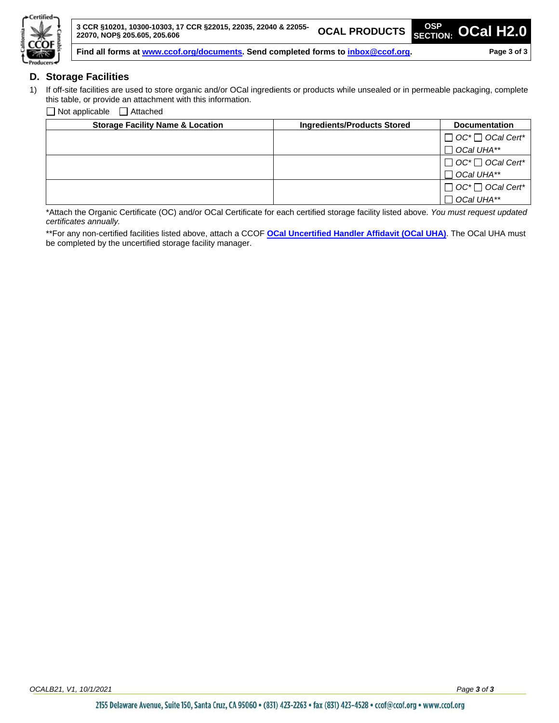

#### **D. Storage Facilities**

1) If off-site facilities are used to store organic and/or OCal ingredients or products while unsealed or in permeable packaging, complete this table, or provide an attachment with this information.

 $\Box$  Not applicable  $\Box$  Attached

| <b>Storage Facility Name &amp; Location</b> | <b>Ingredients/Products Stored</b> | <b>Documentation</b>         |
|---------------------------------------------|------------------------------------|------------------------------|
|                                             |                                    | $\Box$ OC* $\Box$ OCal Cert* |
|                                             |                                    | $\Box$ OCal UHA**            |
|                                             |                                    | $\Box$ OC* $\Box$ OCal Cert* |
|                                             |                                    | $\Box$ OCal UHA**            |
|                                             |                                    | $\Box$ OC* $\Box$ OCal Cert* |
|                                             |                                    | $\Box$ OCal UHA**            |

\*Attach the Organic Certificate (OC) and/or OCal Certificate for each certified storage facility listed above. *You must request updated certificates annually.*

\*\*For any non-certified facilities listed above, attach a CCOF **[OCal Uncertified Handler Affidavit \(OCal UHA\)](https://www.ccof.org/resource/ocal-uncertified-handler-affidavit)**. The OCal UHA must be completed by the uncertified storage facility manager.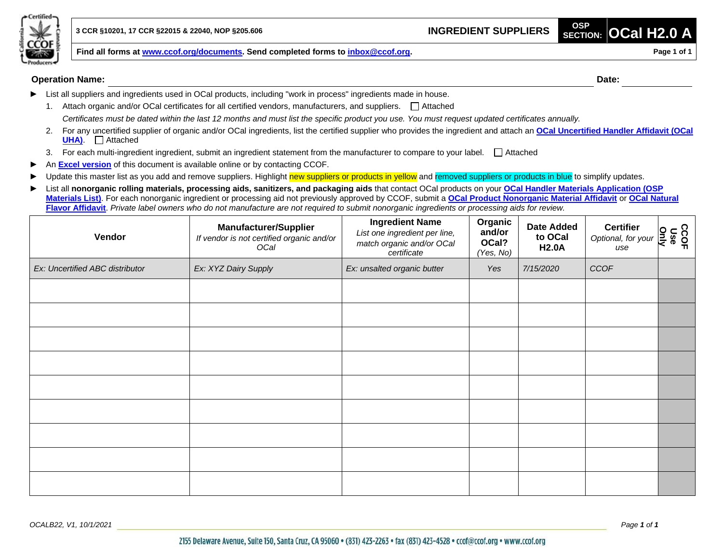

**Find all forms at [www.ccof.org/documents.](https://www.ccof.org/documents) Send completed forms to inbox@ccof.org. Page 1 Page 1 Page 1 of 1** 

#### **Operation Name: Date:**

- List all suppliers and ingredients used in OCal products, including "work in process" ingredients made in house.
- 1. Attach organic and/or OCal certificates for all certified vendors, manufacturers, and suppliers.  $\Box$  Attached *Certificates must be dated within the last 12 months and must list the specific product you use. You must request updated certificates annually.*
- 2. For any uncertified supplier of organic and/or OCal ingredients, list the certified supplier who provides the ingredient and attach an **[OCal Uncertified Handler Affidavit](https://www.ccof.org/resource/ocal-uncertified-handler-affidavit) (OCal UHA)**. □ Attached
- 3. For each multi-ingredient ingredient, submit an ingredient statement from the manufacturer to compare to your label.  $\Box$  Attached
- An **[Excel version](http://www.ccof.org/resource/ocal-h20a-ingredient-suppliers)** of this document is available online or by contacting CCOF.
- Update this master list as you add and remove suppliers. Highlight new suppliers or products in yellow and removed suppliers or products in blue to simplify updates.
- ► List all **nonorganic rolling materials, processing aids, sanitizers, and packaging aids** that contact OCal products on your **[OCal Handler Materials Application \(OSP](https://www.ccof.org/resource/ocal-handler-materials-application-osp-materials-list)  [Materials List\)](https://www.ccof.org/resource/ocal-handler-materials-application-osp-materials-list)**. For each nonorganic ingredient or processing aid not previously approved by CCOF, submit a **[OCal Product Nonorganic Material Affidavit](https://www.ccof.org/resource/ocal-product-nonorganic-material-affidavit)** or **[OCal Natural](https://www.ccof.org/resource/ocal-natural-flavor-affidavit)  [Flavor Affidavit](https://www.ccof.org/resource/ocal-natural-flavor-affidavit)**. *Private label owners who do not manufacture are not required to submit nonorganic ingredients or processing aids for review.*

| Vendor                          | <b>Manufacturer/Supplier</b><br>If vendor is not certified organic and/or<br>OCal | <b>Ingredient Name</b><br>List one ingredient per line,<br>match organic and/or OCal<br>certificate | Organic<br>and/or<br>OCal?<br>(Yes, No) | <b>Date Added</b><br>to OCal<br><b>H2.0A</b> | <b>Certifier</b><br>Certifier $\underset{use}{\text{Optional, for your}}$ $\underset{p=0}{\sum_{n=0}^{N}}$<br>use |  |
|---------------------------------|-----------------------------------------------------------------------------------|-----------------------------------------------------------------------------------------------------|-----------------------------------------|----------------------------------------------|-------------------------------------------------------------------------------------------------------------------|--|
| Ex: Uncertified ABC distributor | Ex: XYZ Dairy Supply                                                              | Ex: unsalted organic butter                                                                         | Yes                                     | 7/15/2020                                    | CCOF                                                                                                              |  |
|                                 |                                                                                   |                                                                                                     |                                         |                                              |                                                                                                                   |  |
|                                 |                                                                                   |                                                                                                     |                                         |                                              |                                                                                                                   |  |
|                                 |                                                                                   |                                                                                                     |                                         |                                              |                                                                                                                   |  |
|                                 |                                                                                   |                                                                                                     |                                         |                                              |                                                                                                                   |  |
|                                 |                                                                                   |                                                                                                     |                                         |                                              |                                                                                                                   |  |
|                                 |                                                                                   |                                                                                                     |                                         |                                              |                                                                                                                   |  |
|                                 |                                                                                   |                                                                                                     |                                         |                                              |                                                                                                                   |  |
|                                 |                                                                                   |                                                                                                     |                                         |                                              |                                                                                                                   |  |
|                                 |                                                                                   |                                                                                                     |                                         |                                              |                                                                                                                   |  |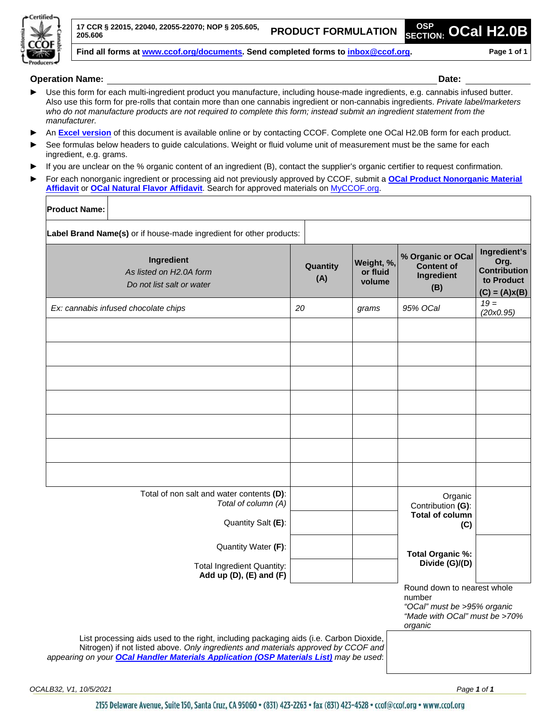

**17 CCR § 22015, 22040, 22055-22070; NOP § 205.605, 205.606 PRODUCT FORMULATION OSP**

**SECTION: OCal H2.0B**

**Find all forms at [www.ccof.org/documents.](https://www.ccof.org/documents) Send completed forms to inbox@ccof.org. Page 1 of 1**

**Operation Name: Date:**

- **►** Use this form for each multi-ingredient product you manufacture, including house-made ingredients, e.g. cannabis infused butter. Also use this form for pre-rolls that contain more than one cannabis ingredient or non-cannabis ingredients. *Private label/marketers who do not manufacture products are not required to complete this form; instead submit an ingredient statement from the manufacturer.*
- **►** An **[Excel version](https://www.ccof.org/documents/h20b-product-formulation-sheet)** of this document is available online or by contacting CCOF. Complete one OCal H2.0B form for each product.
- **►** See formulas below headers to guide calculations. Weight or fluid volume unit of measurement must be the same for each ingredient, e.g. grams.
- **►** If you are unclear on the % organic content of an ingredient (B), contact the supplier's organic certifier to request confirmation.
- **►** For each nonorganic ingredient or processing aid not previously approved by CCOF, submit a **[OCal Product Nonorganic Material](https://www.ccof.org/resource/ocal-product-nonorganic-material-affidavit)  [Affidavit](https://www.ccof.org/resource/ocal-product-nonorganic-material-affidavit)** or **[OCal Natural Flavor Affidavit](https://www.ccof.org/resource/ocal-natural-flavor-affidavit)**. Search for approved materials on [MyCCOF.org.](https://www.ccof.org/page/log-myccof)

| Product Name: |
|---------------|
|---------------|

| Ingredient<br>As listed on H2.0A form<br>Do not list salt or water                                                                                                                                                                                                     | Quantity<br>(A) | Weight, %,<br>or fluid<br>volume | % Organic or OCal<br>Content of<br>Ingredient<br>(B)                                                             | Ingredient's<br>Org.<br><b>Contribution</b><br>to Product<br>$(C) = (A)x(B)$ |
|------------------------------------------------------------------------------------------------------------------------------------------------------------------------------------------------------------------------------------------------------------------------|-----------------|----------------------------------|------------------------------------------------------------------------------------------------------------------|------------------------------------------------------------------------------|
| Ex: cannabis infused chocolate chips                                                                                                                                                                                                                                   | 20              | grams                            | 95% OCal                                                                                                         | $19 =$<br>(20x0.95)                                                          |
|                                                                                                                                                                                                                                                                        |                 |                                  |                                                                                                                  |                                                                              |
|                                                                                                                                                                                                                                                                        |                 |                                  |                                                                                                                  |                                                                              |
|                                                                                                                                                                                                                                                                        |                 |                                  |                                                                                                                  |                                                                              |
|                                                                                                                                                                                                                                                                        |                 |                                  |                                                                                                                  |                                                                              |
|                                                                                                                                                                                                                                                                        |                 |                                  |                                                                                                                  |                                                                              |
|                                                                                                                                                                                                                                                                        |                 |                                  |                                                                                                                  |                                                                              |
|                                                                                                                                                                                                                                                                        |                 |                                  |                                                                                                                  |                                                                              |
|                                                                                                                                                                                                                                                                        |                 |                                  |                                                                                                                  |                                                                              |
| Total of non salt and water contents (D):                                                                                                                                                                                                                              |                 |                                  |                                                                                                                  |                                                                              |
| Total of column (A)                                                                                                                                                                                                                                                    |                 |                                  | Organic<br>Contribution (G):                                                                                     |                                                                              |
| Quantity Salt (E):                                                                                                                                                                                                                                                     |                 |                                  | <b>Total of column</b><br>(C)                                                                                    |                                                                              |
| Quantity Water (F):                                                                                                                                                                                                                                                    |                 |                                  |                                                                                                                  |                                                                              |
| <b>Total Ingredient Quantity:</b><br>Add up $(D)$ , $(E)$ and $(F)$                                                                                                                                                                                                    |                 |                                  | <b>Total Organic %:</b><br>Divide (G)/(D)                                                                        |                                                                              |
|                                                                                                                                                                                                                                                                        |                 |                                  | Round down to nearest whole<br>number<br>"OCal" must be >95% organic<br>"Made with OCal" must be >70%<br>organic |                                                                              |
| List processing aids used to the right, including packaging aids (i.e. Carbon Dioxide,<br>Nitrogen) if not listed above. Only ingredients and materials approved by CCOF and<br>appearing on your OCal Handler Materials Application (OSP Materials List) may be used: |                 |                                  |                                                                                                                  |                                                                              |

2155 Delaware Avenue, Suite 150, Santa Cruz, CA 95060 · (831) 423-2263 · fax (831) 423-4528 · ccof@ccof.org · www.ccof.org

*OCALB32, V1, 10/5/2021 Page 1 of 1*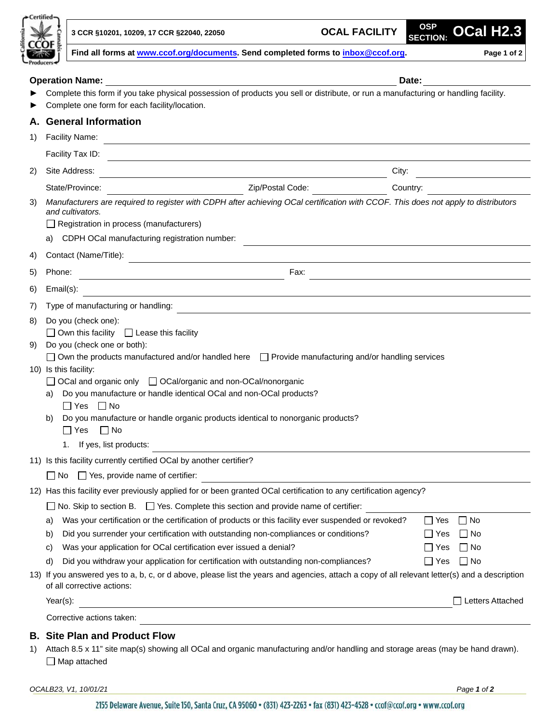| ertified |  |
|----------|--|
|          |  |
|          |  |
|          |  |
|          |  |
| oduce    |  |

**SECTION: OCal H2.3**

|  |  |  | Find all forms at www.ccof.org/documents. Send completed forms to inbox@ccof.org._ |  |  |  | Page 1 of 2 |
|--|--|--|------------------------------------------------------------------------------------|--|--|--|-------------|
|--|--|--|------------------------------------------------------------------------------------|--|--|--|-------------|

|          | <b>Operation Name:</b>                                                                                                                                                                                                                                                                                                                                                                                                                                                                                                                                                                                                                                             |          | Date:                                                                           |  |  |  |
|----------|--------------------------------------------------------------------------------------------------------------------------------------------------------------------------------------------------------------------------------------------------------------------------------------------------------------------------------------------------------------------------------------------------------------------------------------------------------------------------------------------------------------------------------------------------------------------------------------------------------------------------------------------------------------------|----------|---------------------------------------------------------------------------------|--|--|--|
|          | Complete this form if you take physical possession of products you sell or distribute, or run a manufacturing or handling facility.<br>Complete one form for each facility/location.                                                                                                                                                                                                                                                                                                                                                                                                                                                                               |          |                                                                                 |  |  |  |
| А.       | <b>General Information</b>                                                                                                                                                                                                                                                                                                                                                                                                                                                                                                                                                                                                                                         |          |                                                                                 |  |  |  |
| 1)       | <b>Facility Name:</b>                                                                                                                                                                                                                                                                                                                                                                                                                                                                                                                                                                                                                                              |          |                                                                                 |  |  |  |
|          | Facility Tax ID:                                                                                                                                                                                                                                                                                                                                                                                                                                                                                                                                                                                                                                                   |          |                                                                                 |  |  |  |
| 2)       | Site Address:                                                                                                                                                                                                                                                                                                                                                                                                                                                                                                                                                                                                                                                      | City:    |                                                                                 |  |  |  |
|          | Zip/Postal Code:<br>State/Province:                                                                                                                                                                                                                                                                                                                                                                                                                                                                                                                                                                                                                                | Country: |                                                                                 |  |  |  |
| 3)       | Manufacturers are required to register with CDPH after achieving OCal certification with CCOF. This does not apply to distributors<br>and cultivators.<br>$\Box$ Registration in process (manufacturers)<br>CDPH OCal manufacturing registration number:<br>a)                                                                                                                                                                                                                                                                                                                                                                                                     |          |                                                                                 |  |  |  |
| 4)       | Contact (Name/Title):<br><u> 1980 - Johann Barbara, martxa alemaniar a</u>                                                                                                                                                                                                                                                                                                                                                                                                                                                                                                                                                                                         |          |                                                                                 |  |  |  |
| 5)       | Fax:<br>Phone:                                                                                                                                                                                                                                                                                                                                                                                                                                                                                                                                                                                                                                                     |          |                                                                                 |  |  |  |
| 6)       | Email(s):<br><u> 1980 - Johann Barn, mars ann an t-Amhain Aonaich an t-Aonaich an t-Aonaich ann an t-Aonaich ann an t-Aonaich</u>                                                                                                                                                                                                                                                                                                                                                                                                                                                                                                                                  |          |                                                                                 |  |  |  |
| 7)       | Type of manufacturing or handling:                                                                                                                                                                                                                                                                                                                                                                                                                                                                                                                                                                                                                                 |          |                                                                                 |  |  |  |
| 8)<br>9) | Do you (check one):<br>$\Box$ Own this facility $\Box$ Lease this facility<br>Do you (check one or both):<br>$\Box$ Own the products manufactured and/or handled here $\Box$ Provide manufacturing and/or handling services<br>10) Is this facility:<br>$\Box$ OCal and organic only $\Box$ OCal/organic and non-OCal/nonorganic<br>Do you manufacture or handle identical OCal and non-OCal products?<br>a)<br>$\Box$ Yes $\Box$ No<br>Do you manufacture or handle organic products identical to nonorganic products?<br>b)<br>$\Box$ Yes<br>$\Box$ No<br>If yes, list products:<br>1.                                                                           |          |                                                                                 |  |  |  |
|          | 11) Is this facility currently certified OCal by another certifier?                                                                                                                                                                                                                                                                                                                                                                                                                                                                                                                                                                                                |          |                                                                                 |  |  |  |
|          | $\Box$ No $\Box$ Yes, provide name of certifier:                                                                                                                                                                                                                                                                                                                                                                                                                                                                                                                                                                                                                   |          |                                                                                 |  |  |  |
|          | 12) Has this facility ever previously applied for or been granted OCal certification to any certification agency?                                                                                                                                                                                                                                                                                                                                                                                                                                                                                                                                                  |          |                                                                                 |  |  |  |
|          | $\Box$ No. Skip to section B. $\Box$ Yes. Complete this section and provide name of certifier:<br>Was your certification or the certification of products or this facility ever suspended or revoked?<br>a)<br>Did you surrender your certification with outstanding non-compliances or conditions?<br>b)<br>Was your application for OCal certification ever issued a denial?<br>C)<br>Did you withdraw your application for certification with outstanding non-compliances?<br>d)<br>13) If you answered yes to a, b, c, or d above, please list the years and agencies, attach a copy of all relevant letter(s) and a description<br>of all corrective actions: |          | $\Box$ No<br>l Yes<br>l INo<br>l I Yes<br>– I No<br>l Yes<br>$\Box$ No<br>l Yes |  |  |  |
|          | $\Box$ Letters Attached<br>$Year(s)$ :<br><u> 1980 - Johann Stoff, deutscher Stoffen und der Stoffen und der Stoffen und der Stoffen und der Stoffen und de</u>                                                                                                                                                                                                                                                                                                                                                                                                                                                                                                    |          |                                                                                 |  |  |  |
|          | Corrective actions taken:                                                                                                                                                                                                                                                                                                                                                                                                                                                                                                                                                                                                                                          |          |                                                                                 |  |  |  |
|          | <b>B. Site Plan and Product Flow</b>                                                                                                                                                                                                                                                                                                                                                                                                                                                                                                                                                                                                                               |          |                                                                                 |  |  |  |

1) Attach 8.5 x 11" site map(s) showing all OCal and organic manufacturing and/or handling and storage areas (may be hand drawn). □ Map attached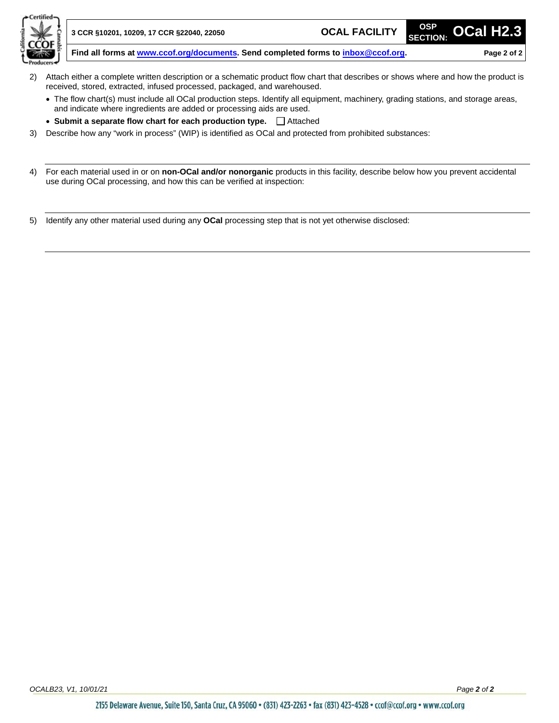

- 2) Attach either a complete written description or a schematic product flow chart that describes or shows where and how the product is received, stored, extracted, infused processed, packaged, and warehoused.
	- The flow chart(s) must include all OCal production steps. Identify all equipment, machinery, grading stations, and storage areas, and indicate where ingredients are added or processing aids are used.
	- Submit a separate flow chart for each production type.  $\Box$  Attached
- 3) Describe how any "work in process" (WIP) is identified as OCal and protected from prohibited substances:
- 4) For each material used in or on **non-OCal and/or nonorganic** products in this facility, describe below how you prevent accidental use during OCal processing, and how this can be verified at inspection:

5) Identify any other material used during any **OCal** processing step that is not yet otherwise disclosed: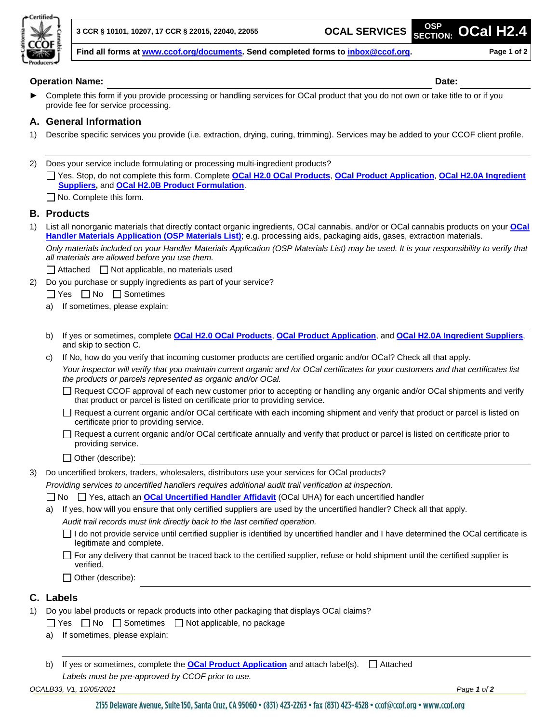

**SECTION: OCal H2.4**

**Find all forms at [www.ccof.org/documents.](https://www.ccof.org/documents) Send completed forms to inbox@ccof.org. Page 1 of 2**

#### **Operation Name: Date:**

Complete this form if you provide processing or handling services for OCal product that you do not own or take title to or if you provide fee for service processing.

#### **A. General Information**

- 1) Describe specific services you provide (i.e. extraction, drying, curing, trimming). Services may be added to your CCOF client profile.
- 2) Does your service include formulating or processing multi-ingredient products?
	- Yes. Stop, do not complete this form. Complete **[OCal H2.0 OCal](http://www.ccof.org/resource/ocal-h20-ocal-products) Products**, **[OCal Product Application](https://www.ccof.org/resource/ocal-product-application)**, **[OCal H2.0A Ingredient](http://www.ccof.org/resource/ocal-h20a-ingredient-suppliers)  [Suppliers,](http://www.ccof.org/resource/ocal-h20a-ingredient-suppliers)** and **OCal H2.0B [Product Formulation](https://www.ccof.org/resource/ocal-h20b-product-formulation)**.

 $\Box$  No. Complete this form.

#### **B. Products**

1) List all nonorganic materials that directly contact organic ingredients, OCal cannabis, and/or or OCal cannabis products on your **[OCal](https://www.ccof.org/resource/ocal-handler-materials-application-osp-materials-list)  [Handler Materials Application \(OSP Materials List\)](https://www.ccof.org/resource/ocal-handler-materials-application-osp-materials-list)**; e.g. processing aids, packaging aids, gases, extraction materials.

*Only materials included on your Handler Materials Application (OSP Materials List) may be used. It is your responsibility to verify that all materials are allowed before you use them.* 

- $\Box$  Attached  $\Box$  Not applicable, no materials used
- 2) Do you purchase or supply ingredients as part of your service?

 $\Box$  Yes  $\Box$  No  $\Box$  Sometimes

- a) If sometimes, please explain:
- b) If yes or sometimes, complete **[OCal H2.0 OCal](http://www.ccof.org/resource/ocal-h20-ocal-products) Products**, **[OCal Product Application](https://www.ccof.org/resource/ocal-product-application)**, and **[OCal H2.0A Ingredient Suppliers](http://www.ccof.org/resource/ocal-h20a-ingredient-suppliers)**, and skip to section C.
- c) If No, how do you verify that incoming customer products are certified organic and/or OCal? Check all that apply. *Your inspector will verify that you maintain current organic and /or OCal certificates for your customers and that certificates list the products or parcels represented as organic and/or OCal.*
	- Request CCOF approval of each new customer prior to accepting or handling any organic and/or OCal shipments and verify that product or parcel is listed on certificate prior to providing service.
	- Request a current organic and/or OCal certificate with each incoming shipment and verify that product or parcel is listed on certificate prior to providing service.
	- Request a current organic and/or OCal certificate annually and verify that product or parcel is listed on certificate prior to providing service.
	- □ Other (describe):
- 3) Do uncertified brokers, traders, wholesalers, distributors use your services for OCal products?

*Providing services to uncertified handlers requires additional audit trail verification at inspection.*

- □ No □ Yes, attach an **[OCal Uncertified Handler Affidavit](https://www.ccof.org/resource/ocal-uncertified-handler-affidavit)** (OCal UHA) for each uncertified handler
- a) If yes, how will you ensure that only certified suppliers are used by the uncertified handler? Check all that apply. *Audit trail records must link directly back to the last certified operation.*
	- $\Box$  I do not provide service until certified supplier is identified by uncertified handler and I have determined the OCal certificate is legitimate and complete.
	- $\Box$  For any delivery that cannot be traced back to the certified supplier, refuse or hold shipment until the certified supplier is verified.
	- $\Box$  Other (describe):

#### **C. Labels**

- 1) Do you label products or repack products into other packaging that displays OCal claims?
	- $\Box$  Yes  $\Box$  No  $\Box$  Sometimes  $\Box$  Not applicable, no package
	- a) If sometimes, please explain:
	- b) If yes or sometimes, complete the **[OCal Product Application](https://www.ccof.org/resource/ocal-product-application)** and attach label(s).  $\Box$  Attached *Labels must be pre-approved by CCOF prior to use.*

*OCALB33, V1, 10/05/2021 Page 1 of 2*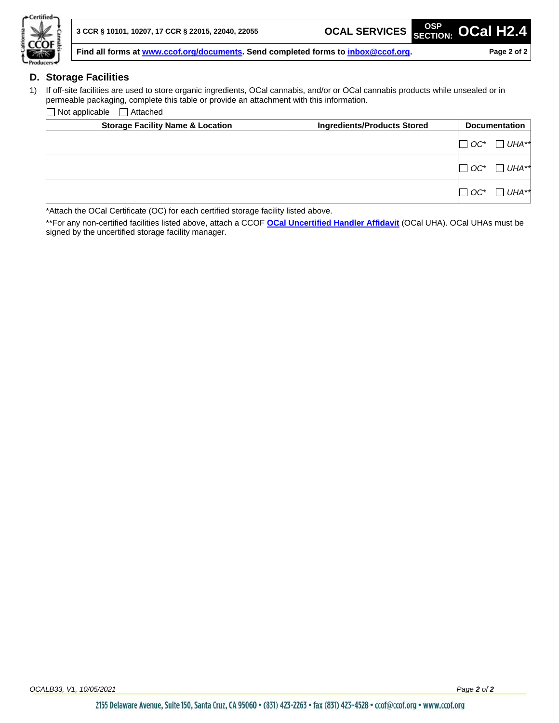

#### **D. Storage Facilities**

1) If off-site facilities are used to store organic ingredients, OCal cannabis, and/or or OCal cannabis products while unsealed or in permeable packaging, complete this table or provide an attachment with this information.

 $\Box$  Not applicable  $\Box$  Attached

| <b>Storage Facility Name &amp; Location</b> | <b>Ingredients/Products Stored</b> | <b>Documentation</b>  |
|---------------------------------------------|------------------------------------|-----------------------|
|                                             |                                    | UHA**<br>$\Box$ OC*   |
|                                             |                                    | UHA**<br>$\Box$ OC*   |
|                                             |                                    | $UHA**$<br>$\Box$ OC* |

\*Attach the OCal Certificate (OC) for each certified storage facility listed above.

\*\*For any non-certified facilities listed above, attach a CCOF **[OCal Uncertified Handler Affidavit](https://www.ccof.org/resource/ocal-uncertified-handler-affidavit)** (OCal UHA). OCal UHAs must be signed by the uncertified storage facility manager.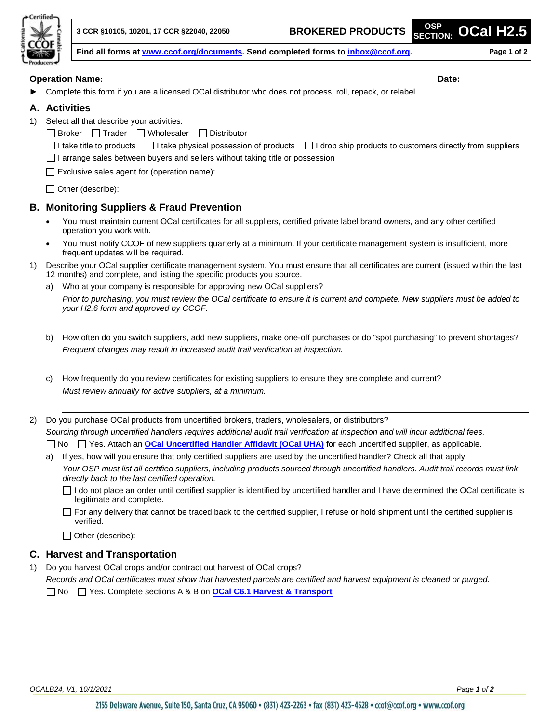

**SECTION: OCal H2.5**

**Find all forms at [www.ccof.org/documents.](https://www.ccof.org/documents) Send completed forms to inbox@ccof.org. Page 1 of 2**

### **Operation Name: Date:** Complete this form if you are a licensed OCal distributor who does not process, roll, repack, or relabel. **A. Activities** 1) Select all that describe your activities:  $\Box$  Broker  $\Box$  Trader  $\Box$  Wholesaler  $\Box$  Distributor  $\Box$  I take title to products  $\Box$  I take physical possession of products  $\Box$  I drop ship products to customers directly from suppliers  $\Box$  I arrange sales between buyers and sellers without taking title or possession  $\Box$  Exclusive sales agent for (operation name):  $\Box$  Other (describe):

#### **B. Monitoring Suppliers & Fraud Prevention**

- You must maintain current OCal certificates for all suppliers, certified private label brand owners, and any other certified operation you work with.
- You must notify CCOF of new suppliers quarterly at a minimum. If your certificate management system is insufficient, more frequent updates will be required.
- 1) Describe your OCal supplier certificate management system. You must ensure that all certificates are current (issued within the last 12 months) and complete, and listing the specific products you source.
	- a) Who at your company is responsible for approving new OCal suppliers?

*Prior to purchasing, you must review the OCal certificate to ensure it is current and complete. New suppliers must be added to your H2.6 form and approved by CCOF.*

- b) How often do you switch suppliers, add new suppliers, make one-off purchases or do "spot purchasing" to prevent shortages? *Frequent changes may result in increased audit trail verification at inspection.*
- c) How frequently do you review certificates for existing suppliers to ensure they are complete and current? *Must review annually for active suppliers, at a minimum.*

2) Do you purchase OCal products from uncertified brokers, traders, wholesalers, or distributors?

*Sourcing through uncertified handlers requires additional audit trail verification at inspection and will incur additional fees.* No Yes. Attach an **[OCal Uncertified Handler Affidavit](https://www.ccof.org/resource/ocal-uncertified-handler-affidavit) (OCal UHA)** for each uncertified supplier, as applicable.

a) If yes, how will you ensure that only certified suppliers are used by the uncertified handler? Check all that apply.

*Your OSP must list all certified suppliers, including products sourced through uncertified handlers. Audit trail records must link directly back to the last certified operation.*

- $\Box$  I do not place an order until certified supplier is identified by uncertified handler and I have determined the OCal certificate is legitimate and complete.
- $\Box$  For any delivery that cannot be traced back to the certified supplier, I refuse or hold shipment until the certified supplier is verified.

Other (describe):

#### **C. Harvest and Transportation**

1) Do you harvest OCal crops and/or contract out harvest of OCal crops? *Records and OCal certificates must show that harvested parcels are certified and harvest equipment is cleaned or purged.*

No Yes. Complete sections A & B on **[OCal C6.1 Harvest & Transport](http://www.ccof.org/resource/ocal-61-harvest-transport)**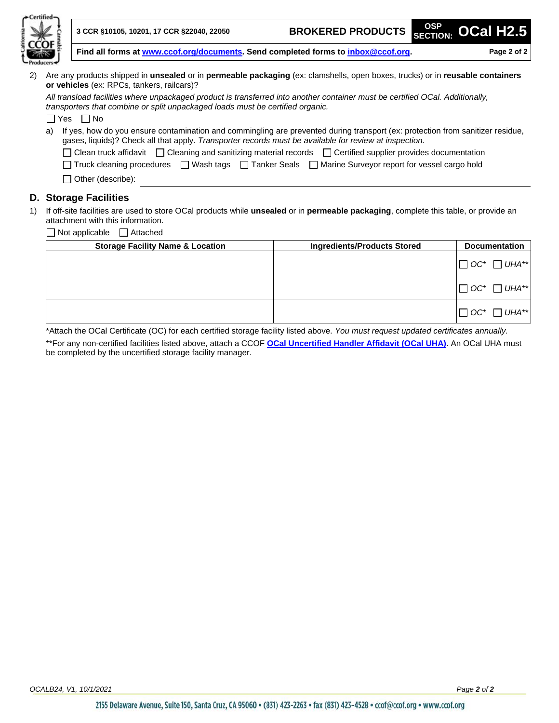| <b>Certified</b> |    |                                                                                                                                                                                                                                          |                                    |            |                      |  |  |
|------------------|----|------------------------------------------------------------------------------------------------------------------------------------------------------------------------------------------------------------------------------------------|------------------------------------|------------|----------------------|--|--|
|                  |    | 3 CCR §10105, 10201, 17 CCR §22040, 22050                                                                                                                                                                                                | <b>BROKERED PRODUCTS</b>           | <b>OSP</b> | SECTION: OCal H2.5   |  |  |
|                  |    | Find all forms at www.ccof.org/documents. Send completed forms to inbox@ccof.org.<br>Page 2 of 2                                                                                                                                         |                                    |            |                      |  |  |
|                  |    |                                                                                                                                                                                                                                          |                                    |            |                      |  |  |
| (2)              |    | Are any products shipped in <b>unsealed</b> or in <b>permeable packaging</b> (ex: clamshells, open boxes, trucks) or in reusable containers<br>or vehicles (ex: RPCs, tankers, railcars)?                                                |                                    |            |                      |  |  |
|                  |    | All transload facilities where unpackaged product is transferred into another container must be certified OCal. Additionally,<br>transporters that combine or split unpackaged loads must be certified organic.                          |                                    |            |                      |  |  |
|                  |    | ∏Yes ∣INo                                                                                                                                                                                                                                |                                    |            |                      |  |  |
|                  | a) | If yes, how do you ensure contamination and commingling are prevented during transport (ex: protection from sanitizer residue,<br>gases, liquids)? Check all that apply. Transporter records must be available for review at inspection. |                                    |            |                      |  |  |
|                  |    | □ Clean truck affidavit □ Cleaning and sanitizing material records □ Certified supplier provides documentation                                                                                                                           |                                    |            |                      |  |  |
|                  |    | □ Truck cleaning procedures □ Wash tags □ Tanker Seals □ Marine Surveyor report for vessel cargo hold                                                                                                                                    |                                    |            |                      |  |  |
|                  |    | $\Box$ Other (describe):                                                                                                                                                                                                                 |                                    |            |                      |  |  |
|                  |    | <b>D. Storage Facilities</b>                                                                                                                                                                                                             |                                    |            |                      |  |  |
| 1)               |    | If off-site facilities are used to store OCal products while <b>unsealed</b> or in <b>permeable packaging</b> , complete this table, or provide an<br>attachment with this information.                                                  |                                    |            |                      |  |  |
|                  |    | $\Box$ Not applicable $\Box$ Attached                                                                                                                                                                                                    |                                    |            |                      |  |  |
|                  |    | <b>Storage Facility Name &amp; Location</b>                                                                                                                                                                                              | <b>Ingredients/Products Stored</b> |            | <b>Documentation</b> |  |  |
|                  |    |                                                                                                                                                                                                                                          |                                    |            |                      |  |  |

| Storage Facility Name & Location | Ingredients/Products Stored | Documentation           |
|----------------------------------|-----------------------------|-------------------------|
|                                  |                             | $\Box$ OC* $\Box$ UHA** |
|                                  |                             | $\Box$ OC* $\Box$ UHA** |
|                                  |                             | $\Box$ OC* $\Box$ UHA** |

\*Attach the OCal Certificate (OC) for each certified storage facility listed above. *You must request updated certificates annually.*

\*\*For any non-certified facilities listed above, attach a CCOF **[OCal Uncertified Handler Affidavit](https://www.ccof.org/resource/ocal-uncertified-handler-affidavit) (OCal UHA)**. An OCal UHA must be completed by the uncertified storage facility manager.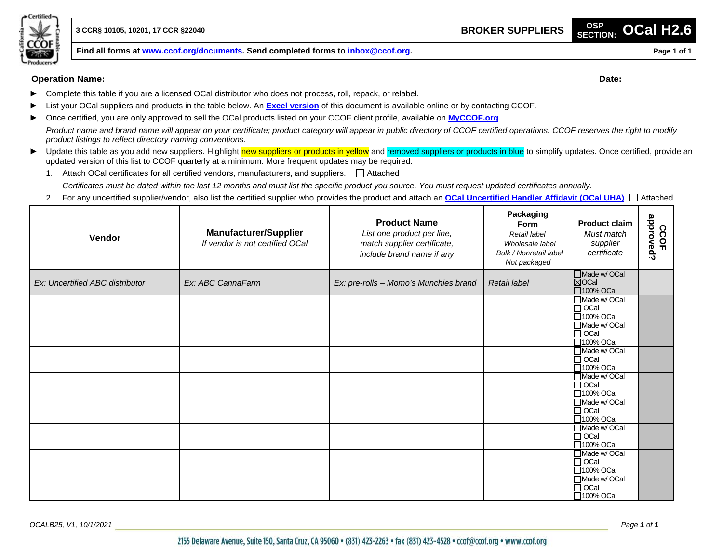

**Find all forms at [www.ccof.org/documents.](https://www.ccof.org/documents) Send completed forms to inbox@ccof.org. Page 1 Page 1 Page 1 of 1** 

**Operation Name: Date:**

- ► Complete this table if you are a licensed OCal distributor who does not process, roll, repack, or relabel.
- ► List your OCal suppliers and products in the table below. An **[Excel version](https://www.ccof.org/resource/ocal-h26-broker-suppliers)** of this document is available online or by contacting CCOF.
- ► Once certified, you are only approved to sell the OCal products listed on your CCOF client profile, available on **[MyCCOF.org](http://www.myccof.org/)**.

*Product name and brand name will appear on your certificate; product category will appear in public directory of CCOF certified operations. CCOF reserves the right to modify product listings to reflect directory naming conventions.*

- ► Update this table as you add new suppliers. Highlight new suppliers or products in yellow and removed suppliers or products in blue to simplify updates. Once certified, provide an updated version of this list to CCOF quarterly at a minimum. More frequent updates may be required.
	- 1. Attach OCal certificates for all certified vendors, manufacturers, and suppliers.  $\Box$  Attached *Certificates must be dated within the last 12 months and must list the specific product you source. You must request updated certificates annually.*
	- 2. For any uncertified supplier/vendor, also list the certified supplier who provides the product and attach an **[OCal Uncertified Handler Affidavit \(OCal UHA\)](https://www.ccof.org/resource/ocal-uncertified-handler-affidavit)**. Attached

| Vendor                          | <b>Manufacturer/Supplier</b><br>If vendor is not certified OCal | <b>Product Name</b><br>List one product per line,<br>match supplier certificate,<br>include brand name if any | Packaging<br><b>Form</b><br>Retail label<br>Wholesale label<br>Bulk / Nonretail label<br>Not packaged | <b>Product claim</b><br>Must match<br>supplier<br>certificate | approved?<br>CCOF |
|---------------------------------|-----------------------------------------------------------------|---------------------------------------------------------------------------------------------------------------|-------------------------------------------------------------------------------------------------------|---------------------------------------------------------------|-------------------|
| Ex: Uncertified ABC distributor | Ex: ABC CannaFarm                                               | Ex: pre-rolls - Momo's Munchies brand                                                                         | Retail label                                                                                          | Made w/ OCal<br><b>XOCal</b><br>$\square$ 100% OCal           |                   |
|                                 |                                                                 |                                                                                                               |                                                                                                       | I Made w/ OCal<br>$\Box$ OCal<br>□100% OCal                   |                   |
|                                 |                                                                 |                                                                                                               |                                                                                                       | Made w/ OCal<br>$\Box$ OCal<br>$\Box$ 100% OCal               |                   |
|                                 |                                                                 |                                                                                                               |                                                                                                       | Made w/ OCal<br>$\Box$ OCal<br>□100% OCal                     |                   |
|                                 |                                                                 |                                                                                                               |                                                                                                       | Made w/ OCal<br>$ \overline{\Box}$ OCal<br>$\Box$ 100% OCal   |                   |
|                                 |                                                                 |                                                                                                               |                                                                                                       | Made w/ OCal<br>$\Box$ OCal<br>□100% OCal                     |                   |
|                                 |                                                                 |                                                                                                               |                                                                                                       | Made w/ OCal<br>$\vert\overline{\Box}$ OCal<br>□100% OCal     |                   |
|                                 |                                                                 |                                                                                                               |                                                                                                       | Made w/ OCal<br>$\Box$ OCal<br>□100% OCal                     |                   |
|                                 |                                                                 |                                                                                                               |                                                                                                       | Made w/ OCal<br>$\Box$ OCal<br>□100% OCal                     |                   |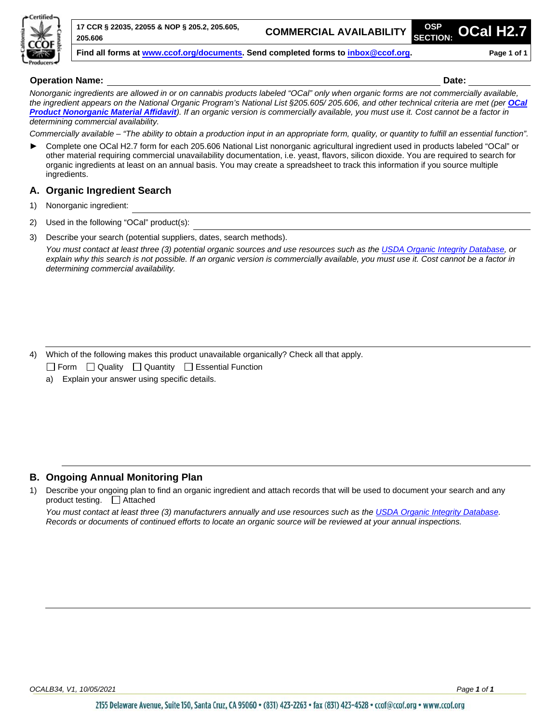

**17 CCR § 22035, 22055 & NOP § 205.2, 205.605, 205.606**

**COMMERCIAL AVAILABILITY SECTION:** 

**SECTION: OCal H2.7**

**Find all forms at [www.ccof.org/documents.](https://www.ccof.org/documents) Send completed forms to inbox@ccof.org. Page 1 of 1**

#### **Operation Name: Date:**

*Nonorganic ingredients are allowed in or on cannabis products labeled "OCal" only when organic forms are not commercially available, the ingredient appears on the National Organic Program's National List §205.605/ 205.606, and other technical criteria are met (per [OCal](https://www.ccof.org/resource/ocal-product-nonorganic-material-affidavit)  [Product Nonorganic](https://www.ccof.org/resource/ocal-product-nonorganic-material-affidavit) Material Affidavit). If an organic version is commercially available, you must use it. Cost cannot be a factor in determining commercial availability.*

*Commercially available – "The ability to obtain a production input in an appropriate form, quality, or quantity to fulfill an essential function".*

► Complete one OCal H2.7 form for each 205.606 National List nonorganic agricultural ingredient used in products labeled "OCal" or other material requiring commercial unavailability documentation, i.e. yeast, flavors, silicon dioxide. You are required to search for organic ingredients at least on an annual basis. You may create a spreadsheet to track this information if you source multiple ingredients.

#### **A. Organic Ingredient Search**

- 1) Nonorganic ingredient:
- 2) Used in the following "OCal" product(s):
- 3) Describe your search (potential suppliers, dates, search methods).

*You must contact at least three (3) potential organic sources and use resources such as the [USDA Organic Integrity Database,](https://organic.ams.usda.gov/integrity/) or explain why this search is not possible. If an organic version is commercially available, you must use it. Cost cannot be a factor in determining commercial availability.*

4) Which of the following makes this product unavailable organically? Check all that apply.

 $\Box$  Form  $\Box$  Quality  $\Box$  Quantity  $\Box$  Essential Function

a) Explain your answer using specific details.

### **B. Ongoing Annual Monitoring Plan**

1) Describe your ongoing plan to find an organic ingredient and attach records that will be used to document your search and any product testing. Attached

*You must contact at least three (3) manufacturers annually and use resources such as th[e USDA Organic Integrity Database.](https://organic.ams.usda.gov/integrity/) Records or documents of continued efforts to locate an organic source will be reviewed at your annual inspections.*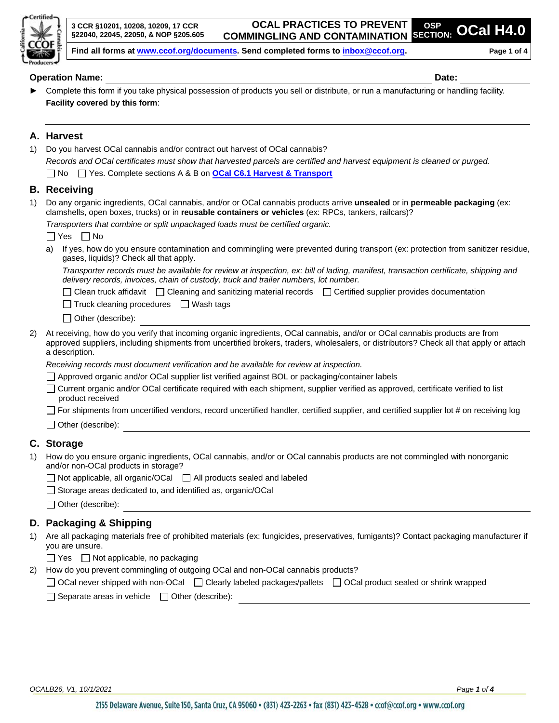

**OSP SECTION: OCal H4.0**

**Find all forms at [www.ccof.org/documents.](https://www.ccof.org/documents) Send completed forms to inbox@ccof.org. Page 1 of 4**

#### **Operation Name: Date:**

► Complete this form if you take physical possession of products you sell or distribute, or run a manufacturing or handling facility. **Facility covered by this form**:

#### **A. Harvest**

| 1) | Do you harvest OCal cannabis and/or contract out harvest of OCal cannabis?                                                                                                                                                         |
|----|------------------------------------------------------------------------------------------------------------------------------------------------------------------------------------------------------------------------------------|
|    | Records and OCal certificates must show that harvested parcels are certified and harvest equipment is cleaned or purged.                                                                                                           |
|    | □ No □ Yes. Complete sections A & B on <b>OCal C6.1 Harvest &amp; Transport</b>                                                                                                                                                    |
|    | <b>B.</b> Receiving                                                                                                                                                                                                                |
| 1) | Do any organic ingredients, OCal cannabis, and/or or OCal cannabis products arrive unsealed or in permeable packaging (ex:<br>clamshells, open boxes, trucks) or in reusable containers or vehicles (ex: RPCs, tankers, railcars)? |
|    | Transporters that combine or split unpackaged loads must be certified organic.                                                                                                                                                     |
|    | IIYes IINo                                                                                                                                                                                                                         |
|    | If yes, how do you ensure contamination and commingling were prevented during transport (ex: protection from sanitizer residue,<br>a)<br>gases, liquids)? Check all that apply.                                                    |
|    | Transporter records must be available for review at inspection, ex: bill of lading, manifest, transaction certificate, shipping and<br>delivery records, invoices, chain of custody, truck and trailer numbers, lot number.        |
|    | $\Box$ Clean truck affidavit $\Box$ Cleaning and sanitizing material records $\Box$ Certified supplier provides documentation                                                                                                      |
|    | $\Box$ Truck cleaning procedures $\Box$ Wash tags                                                                                                                                                                                  |
|    | Other (describe):                                                                                                                                                                                                                  |

2) At receiving, how do you verify that incoming organic ingredients, OCal cannabis, and/or or OCal cannabis products are from approved suppliers, including shipments from uncertified brokers, traders, wholesalers, or distributors? Check all that apply or attach a description.

*Receiving records must document verification and be available for review at inspection.*

- □ Approved organic and/or OCal supplier list verified against BOL or packaging/container labels
- Current organic and/or OCal certificate required with each shipment, supplier verified as approved, certificate verified to list product received
- $\Box$  For shipments from uncertified vendors, record uncertified handler, certified supplier, and certified supplier lot # on receiving log

Other (describe):

### **C. Storage**

- 1) How do you ensure organic ingredients, OCal cannabis, and/or or OCal cannabis products are not commingled with nonorganic and/or non-OCal products in storage?
	- $\Box$  Not applicable, all organic/OCal  $\Box$  All products sealed and labeled
	- $\Box$  Storage areas dedicated to, and identified as, organic/OCal
	- □ Other (describe):

### **D. Packaging & Shipping**

- 1) Are all packaging materials free of prohibited materials (ex: fungicides, preservatives, fumigants)? Contact packaging manufacturer if you are unsure.
	- $\Box$  Yes  $\Box$  Not applicable, no packaging
- 2) How do you prevent commingling of outgoing OCal and non-OCal cannabis products?
- □ OCal never shipped with non-OCal □ Clearly labeled packages/pallets □ OCal product sealed or shrink wrapped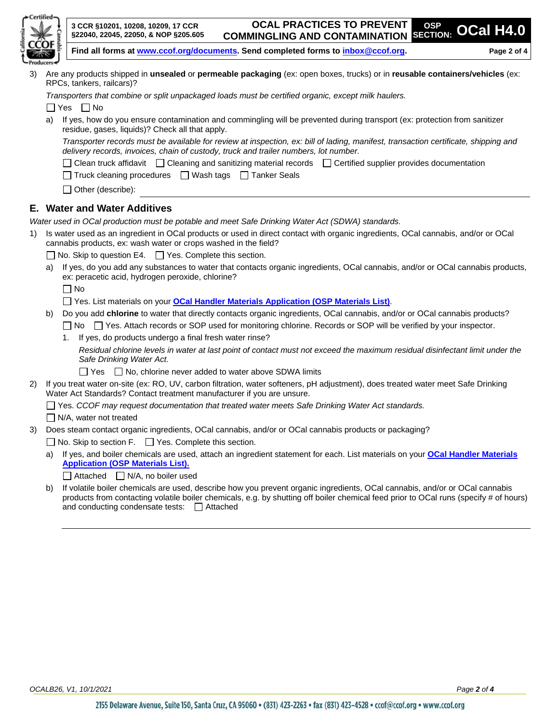

3) Are any products shipped in **unsealed** or **permeable packaging** (ex: open boxes, trucks) or in **reusable containers/vehicles** (ex: RPCs, tankers, railcars)?

*Transporters that combine or split unpackaged loads must be certified organic, except milk haulers.*

 $\Box$  Yes  $\Box$  No

a) If yes, how do you ensure contamination and commingling will be prevented during transport (ex: protection from sanitizer residue, gases, liquids)? Check all that apply.

*Transporter records must be available for review at inspection, ex: bill of lading, manifest, transaction certificate, shipping and delivery records, invoices, chain of custody, truck and trailer numbers, lot number.*

- $\Box$  Clean truck affidavit  $\Box$  Cleaning and sanitizing material records  $\Box$  Certified supplier provides documentation
- $\Box$  Truck cleaning procedures  $\Box$  Wash tags  $\Box$  Tanker Seals
- $\Box$  Other (describe):

#### **E. Water and Water Additives**

*Water used in OCal production must be potable and meet Safe Drinking Water Act (SDWA) standards.*

- 1) Is water used as an ingredient in OCal products or used in direct contact with organic ingredients, OCal cannabis, and/or or OCal cannabis products, ex: wash water or crops washed in the field?
	- $\Box$  No. Skip to question E4.  $\Box$  Yes. Complete this section.
	- a) If yes, do you add any substances to water that contacts organic ingredients, OCal cannabis, and/or or OCal cannabis products, ex: peracetic acid, hydrogen peroxide, chlorine?

 $\Box$  No

- □ Yes. List materials on your **[OCal Handler Materials Application \(OSP Materials List\)](https://www.ccof.org/resource/ocal-handler-materials-application-osp-materials-list)**.
- b) Do you add **chlorine** to water that directly contacts organic ingredients, OCal cannabis, and/or or OCal cannabis products?
	- □ No □ Yes. Attach records or SOP used for monitoring chlorine. Records or SOP will be verified by your inspector.
	- 1. If yes, do products undergo a final fresh water rinse?

*Residual chlorine levels in water at last point of contact must not exceed the maximum residual disinfectant limit under the Safe Drinking Water Act.*

 $\Box$  Yes  $\Box$  No, chlorine never added to water above SDWA limits

- 2) If you treat water on-site (ex: RO, UV, carbon filtration, water softeners, pH adjustment), does treated water meet Safe Drinking Water Act Standards? Contact treatment manufacturer if you are unsure.
	- Yes. *CCOF may request documentation that treated water meets Safe Drinking Water Act standards.*

 $\Box$  N/A, water not treated

3) Does steam contact organic ingredients, OCal cannabis, and/or or OCal cannabis products or packaging?

 $\Box$  No. Skip to section F.  $\Box$  Yes. Complete this section.

a) If yes, and boiler chemicals are used, attach an ingredient statement for each. List materials on your **[OCal Handler Materials](https://www.ccof.org/resource/ocal-handler-materials-application-osp-materials-list)  [Application \(OSP Materials List\).](https://www.ccof.org/resource/ocal-handler-materials-application-osp-materials-list)**

 $\Box$  Attached  $\Box$  N/A, no boiler used

b) If volatile boiler chemicals are used, describe how you prevent organic ingredients, OCal cannabis, and/or or OCal cannabis products from contacting volatile boiler chemicals, e.g. by shutting off boiler chemical feed prior to OCal runs (specify # of hours) and conducting condensate tests:  $\Box$  Attached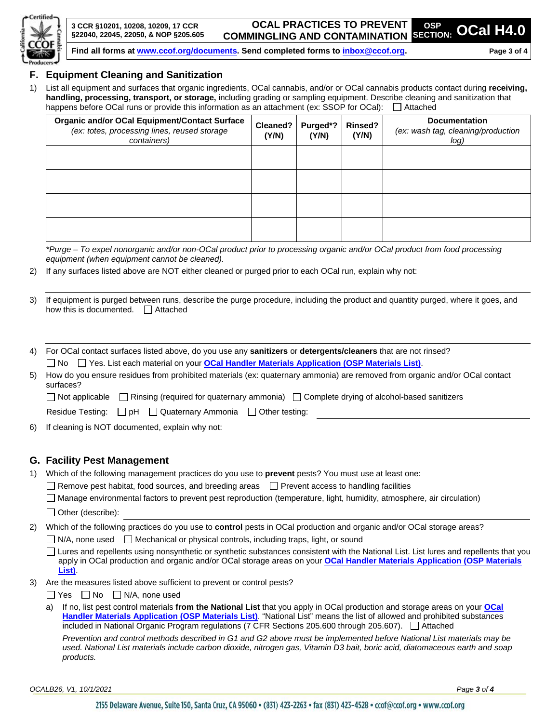

**OCAL PRACTICES TO PREVENT COMMINGLING AND CONTAMINATION**

**Find all forms at [www.ccof.org/documents.](https://www.ccof.org/documents) Send completed forms to inbox@ccof.org. Page 3 of 4**

#### **F. Equipment Cleaning and Sanitization**

1) List all equipment and surfaces that organic ingredients, OCal cannabis, and/or or OCal cannabis products contact during **receiving, handling, processing, transport, or storage,** including grading or sampling equipment. Describe cleaning and sanitization that happens before OCal runs or provide this information as an attachment (ex: SSOP for OCal):  $\Box$  Attached

| <b>Organic and/or OCal Equipment/Contact Surface</b><br>(ex: totes, processing lines, reused storage<br>containers) | Cleaned?<br>(Y/N) | Purged*?<br>(Y/N) | Rinsed?<br>(Y/N) | <b>Documentation</b><br>(ex: wash tag, cleaning/production<br>log) |
|---------------------------------------------------------------------------------------------------------------------|-------------------|-------------------|------------------|--------------------------------------------------------------------|
|                                                                                                                     |                   |                   |                  |                                                                    |
|                                                                                                                     |                   |                   |                  |                                                                    |
|                                                                                                                     |                   |                   |                  |                                                                    |
|                                                                                                                     |                   |                   |                  |                                                                    |

*\*Purge – To expel nonorganic and/or non-OCal product prior to processing organic and/or OCal product from food processing equipment (when equipment cannot be cleaned).*

2) If any surfaces listed above are NOT either cleaned or purged prior to each OCal run, explain why not:

3) If equipment is purged between runs, describe the purge procedure, including the product and quantity purged, where it goes, and how this is documented.  $\Box$  Attached

| 4) | For OCal contact surfaces listed above, do you use any sanitizers or detergents/cleaners that are not rinsed?                           |  |  |  |  |
|----|-----------------------------------------------------------------------------------------------------------------------------------------|--|--|--|--|
|    | $\Box$ No $\Box$ Yes. List each material on your OCal Handler Materials Application (OSP Materials List).                               |  |  |  |  |
| 5) | How do you ensure residues from prohibited materials (ex: quaternary ammonia) are removed from organic and/or OCal contact<br>surfaces? |  |  |  |  |
|    | $\Box$ Not applicable $\Box$ Rinsing (required for quaternary ammonia) $\Box$ Complete drying of alcohol-based sanitizers               |  |  |  |  |
|    | Residue Testing: $\Box$ pH $\Box$ Quaternary Ammonia $\Box$ Other testing:                                                              |  |  |  |  |
| 6) | If cleaning is NOT documented, explain why not:                                                                                         |  |  |  |  |

#### **G. Facility Pest Management**

| 1) | Which of the following management practices do you use to prevent pests? You must use at least one:<br>$\Box$ Remove pest habitat, food sources, and breeding areas $\Box$ Prevent access to handling facilities                                                                                                                                                     |  |  |  |  |  |
|----|----------------------------------------------------------------------------------------------------------------------------------------------------------------------------------------------------------------------------------------------------------------------------------------------------------------------------------------------------------------------|--|--|--|--|--|
|    |                                                                                                                                                                                                                                                                                                                                                                      |  |  |  |  |  |
|    | Manage environmental factors to prevent pest reproduction (temperature, light, humidity, atmosphere, air circulation)                                                                                                                                                                                                                                                |  |  |  |  |  |
|    | Other (describe):                                                                                                                                                                                                                                                                                                                                                    |  |  |  |  |  |
| 2) | Which of the following practices do you use to control pests in OCal production and organic and/or OCal storage areas?                                                                                                                                                                                                                                               |  |  |  |  |  |
|    | $\Box$ N/A, none used $\Box$ Mechanical or physical controls, including traps, light, or sound                                                                                                                                                                                                                                                                       |  |  |  |  |  |
|    | Lures and repellents using nonsynthetic or synthetic substances consistent with the National List. List lures and repellents that you<br>apply in OCal production and organic and/or OCal storage areas on your <b>OCal Handler Materials Application (OSP Materials</b><br>List).                                                                                   |  |  |  |  |  |
| 3) | Are the measures listed above sufficient to prevent or control pests?                                                                                                                                                                                                                                                                                                |  |  |  |  |  |
|    | Yes $\Box$ No $\Box$ N/A, none used                                                                                                                                                                                                                                                                                                                                  |  |  |  |  |  |
|    | If no, list pest control materials from the National List that you apply in OCal production and storage areas on your OCal<br>a)<br>Handler Materials Application (OSP Materials List). "National List" means the list of allowed and prohibited substances<br>included in National Organic Program regulations (7 CFR Sections 205.600 through 205.607). □ Attached |  |  |  |  |  |
|    | Prevention and control methods described in G1 and G2 above must be implemented before National List materials may be<br>used. National List materials include carbon dioxide, nitrogen gas, Vitamin D3 bait, boric acid, diatomaceous earth and soap<br>products.                                                                                                   |  |  |  |  |  |

*OCALB26, V1, 10/1/2021 Page 3 of 4*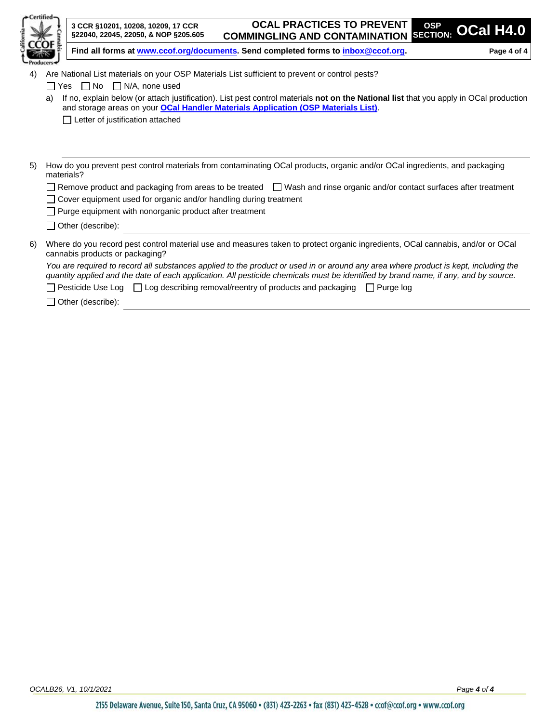|    |            | 3 CCR §10201, 10208, 10209, 17 CCR<br>§22040, 22045, 22050, & NOP §205.605                                                                                                                                                                                                 | <b>OCAL PRACTICES TO PREVENT</b><br>COMMINGLING AND CONTAMINATION SECTION: OCAL H4.0 | <b>OSP</b>    |             |
|----|------------|----------------------------------------------------------------------------------------------------------------------------------------------------------------------------------------------------------------------------------------------------------------------------|--------------------------------------------------------------------------------------|---------------|-------------|
|    |            | Find all forms at www.ccof.org/documents. Send completed forms to inbox@ccof.org.                                                                                                                                                                                          |                                                                                      |               | Page 4 of 4 |
| 4) |            | Are National List materials on your OSP Materials List sufficient to prevent or control pests?                                                                                                                                                                             |                                                                                      |               |             |
|    | Yes        | $\Box$ No<br>$\Box$ N/A, none used                                                                                                                                                                                                                                         |                                                                                      |               |             |
|    | a)         | If no, explain below (or attach justification). List pest control materials not on the National list that you apply in OCal production                                                                                                                                     |                                                                                      |               |             |
|    |            | and storage areas on your OCal Handler Materials Application (OSP Materials List).                                                                                                                                                                                         |                                                                                      |               |             |
|    |            | Letter of justification attached                                                                                                                                                                                                                                           |                                                                                      |               |             |
|    |            |                                                                                                                                                                                                                                                                            |                                                                                      |               |             |
|    |            |                                                                                                                                                                                                                                                                            |                                                                                      |               |             |
| 5) | materials? | How do you prevent pest control materials from contaminating OCal products, organic and/or OCal ingredients, and packaging                                                                                                                                                 |                                                                                      |               |             |
|    |            | $\Box$ Remove product and packaging from areas to be treated $\Box$ Wash and rinse organic and/or contact surfaces after treatment                                                                                                                                         |                                                                                      |               |             |
|    |            | Cover equipment used for organic and/or handling during treatment                                                                                                                                                                                                          |                                                                                      |               |             |
|    |            | $\Box$ Purge equipment with nonorganic product after treatment                                                                                                                                                                                                             |                                                                                      |               |             |
|    |            | $\Box$ Other (describe):                                                                                                                                                                                                                                                   |                                                                                      |               |             |
| 6) |            | Where do you record pest control material use and measures taken to protect organic ingredients, OCal cannabis, and/or or OCal<br>cannabis products or packaging?                                                                                                          |                                                                                      |               |             |
|    |            | You are required to record all substances applied to the product or used in or around any area where product is kept, including the<br>quantity applied and the date of each application. All pesticide chemicals must be identified by brand name, if any, and by source. |                                                                                      |               |             |
|    |            | Pesticide Use Log $\Box$ Log describing removal/reentry of products and packaging                                                                                                                                                                                          |                                                                                      | I I Purge log |             |
|    |            | Other (describe):                                                                                                                                                                                                                                                          |                                                                                      |               |             |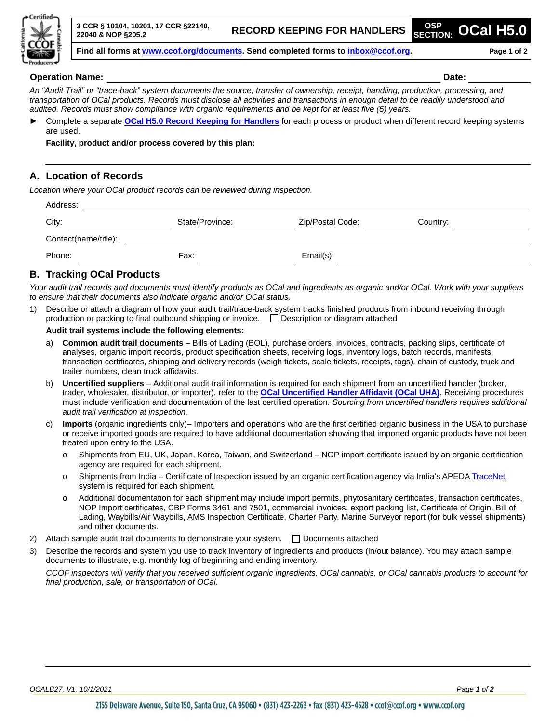

#### **Operation Name: Date:**

*An "Audit Trail" or "trace-back" system documents the source, transfer of ownership, receipt, handling, production, processing, and transportation of OCal products. Records must disclose all activities and transactions in enough detail to be readily understood and audited. Records must show compliance with organic requirements and be kept for at least five (5) years.*

► Complete a separate **[OCal H5.0 Record Keeping for Handlers](http://www.ccof.org/resource/ocal-h50-record-keeping-handlers)** for each process or product when different record keeping systems are used.

**Facility, product and/or process covered by this plan:**

#### **A. Location of Records**

*Location where your OCal product records can be reviewed during inspection.*

| Address:             |                 |                  |          |
|----------------------|-----------------|------------------|----------|
| City:                | State/Province: | Zip/Postal Code: | Country: |
| Contact(name/title): |                 |                  |          |
| Phone:               | Fax:            | Email(s):        |          |

#### **B. Tracking OCal Products**

*Your audit trail records and documents must identify products as OCal and ingredients as organic and/or OCal. Work with your suppliers to ensure that their documents also indicate organic and/or OCal status.*

1) Describe or attach a diagram of how your audit trail/trace-back system tracks finished products from inbound receiving through production or packing to final outbound shipping or invoice.  $\Box$  Description or diagram attached

#### **Audit trail systems include the following elements:**

- a) **Common audit trail documents** Bills of Lading (BOL), purchase orders, invoices, contracts, packing slips, certificate of analyses, organic import records, product specification sheets, receiving logs, inventory logs, batch records, manifests, transaction certificates, shipping and delivery records (weigh tickets, scale tickets, receipts, tags), chain of custody, truck and trailer numbers, clean truck affidavits.
- b) **Uncertified suppliers** Additional audit trail information is required for each shipment from an uncertified handler (broker, trader, wholesaler, distributor, or importer), refer to the **[OCal Uncertified Handler Affidavit](https://www.ccof.org/resource/ocal-uncertified-handler-affidavit) (OCal UHA)**. Receiving procedures must include verification and documentation of the last certified operation. *Sourcing from uncertified handlers requires additional audit trail verification at inspection.*
- c) **Imports** (organic ingredients only)– Importers and operations who are the first certified organic business in the USA to purchase or receive imported goods are required to have additional documentation showing that imported organic products have not been treated upon entry to the USA.
	- o Shipments from EU, UK, Japan, Korea, Taiwan, and Switzerland NOP import certificate issued by an organic certification agency are required for each shipment.
	- o Shipments from India Certificate of Inspection issued by an organic certification agency via India's APED[A TraceNet](https://apeda.gov.in/apedawebsite/TracenetOrganic/TraceNet.htm) system is required for each shipment.
	- o Additional documentation for each shipment may include import permits, phytosanitary certificates, transaction certificates, NOP Import certificates, CBP Forms 3461 and 7501, commercial invoices, export packing list, Certificate of Origin, Bill of Lading, Waybills/Air Waybills, AMS Inspection Certificate, Charter Party, Marine Surveyor report (for bulk vessel shipments) and other documents.
- 2) Attach sample audit trail documents to demonstrate your system.  $\Box$  Documents attached
- 3) Describe the records and system you use to track inventory of ingredients and products (in/out balance). You may attach sample documents to illustrate, e.g. monthly log of beginning and ending inventory.

*CCOF inspectors will verify that you received sufficient organic ingredients, OCal cannabis, or OCal cannabis products to account for final production, sale, or transportation of OCal.*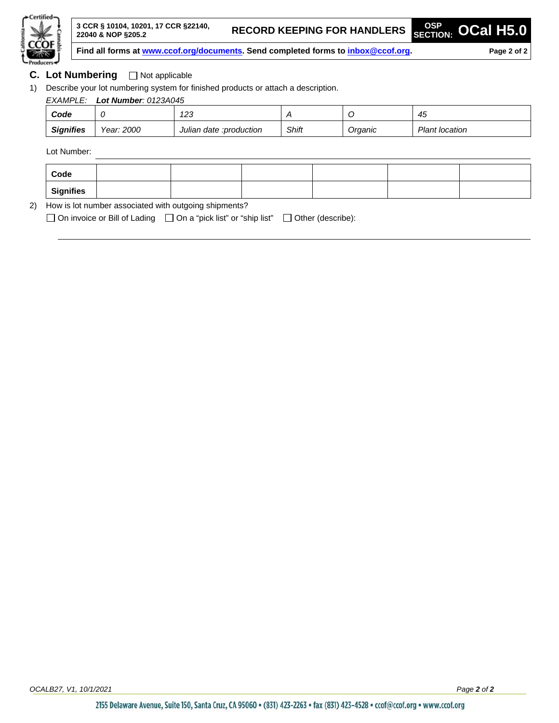

**SECTION: OCal H5.0**

**Find all forms at [www.ccof.org/documents.](https://www.ccof.org/documents) Send completed forms to inbox@ccof.org. Page 2 of 2**

#### **C.** Lot Numbering □ Not applicable

1) Describe your lot numbering system for finished products or attach a description.

## *EXAMPLE: Lot Number: 0123A045 Code 0 123 A O 45*

| <br><b>Signifies</b> | 2000<br>Year: | <br>:production<br>Juliar<br>date | Shift<br>$\sim$ $\sim$ | Orqanic | Planı .<br>location |
|----------------------|---------------|-----------------------------------|------------------------|---------|---------------------|
|                      |               |                                   |                        |         |                     |

Lot Number:

| Code             |  |  |  |  |  |  |
|------------------|--|--|--|--|--|--|
| <b>Signifies</b> |  |  |  |  |  |  |
| $\blacksquare$   |  |  |  |  |  |  |

2) How is lot number associated with outgoing shipments?

 $\Box$  On invoice or Bill of Lading  $\Box$  On a "pick list" or "ship list"  $\Box$  Other (describe):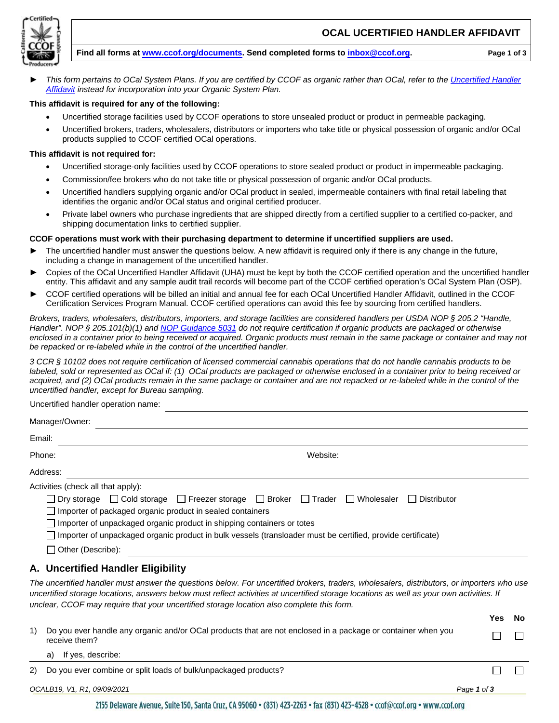

#### **OCAL UCERTIFIED HANDLER AFFIDAVIT**

#### **Find all forms at [www.ccof.org/documents.](https://www.ccof.org/documents) Send completed forms to [inbox@ccof.org.](https://ccof1.sharepoint.com/sites/365XCertStaff/Shared%20Documents/General/WIP%20Controlled%20Documents/COMPLETE%20AND%20READY%20TO%20SEND/OCal%20OSP%20Sept%202021/Distributor/inbox@ccof.org) Page 1 of 3**

► *This form pertains to OCal System Plans. If you are certified by CCOF as organic rather than OCal, refer to th[e Uncertified Handler](https://www.ccof.org/resource/uncertified-handler-affidavit)  [Affidavit](https://www.ccof.org/resource/uncertified-handler-affidavit) instead for incorporation into your Organic System Plan.*

#### **This affidavit is required for any of the following:**

- Uncertified storage facilities used by CCOF operations to store unsealed product or product in permeable packaging.
- Uncertified brokers, traders, wholesalers, distributors or importers who take title or physical possession of organic and/or OCal products supplied to CCOF certified OCal operations.

#### **This affidavit is not required for:**

- Uncertified storage-only facilities used by CCOF operations to store sealed product or product in impermeable packaging.
- Commission/fee brokers who do not take title or physical possession of organic and/or OCal products.
- Uncertified handlers supplying organic and/or OCal product in sealed, impermeable containers with final retail labeling that identifies the organic and/or OCal status and original certified producer.
- Private label owners who purchase ingredients that are shipped directly from a certified supplier to a certified co-packer, and shipping documentation links to certified supplier.

#### **CCOF operations must work with their purchasing department to determine if uncertified suppliers are used.**

- The uncertified handler must answer the questions below. A new affidavit is required only if there is any change in the future, including a change in management of the uncertified handler.
- Copies of the OCal Uncertified Handler Affidavit (UHA) must be kept by both the CCOF certified operation and the uncertified handler entity. This affidavit and any sample audit trail records will become part of the CCOF certified operation's OCal System Plan (OSP).
- ► CCOF certified operations will be billed an initial and annual fee for each OCal Uncertified Handler Affidavit, outlined in the CCOF Certification Services Program Manual. CCOF certified operations can avoid this fee by sourcing from certified handlers.

*Brokers, traders, wholesalers, distributors, importers, and storage facilities are considered handlers per USDA NOP § 205.2 "Handle, Handler". NOP § 205.101(b)(1) and [NOP Guidance 5031](https://www.ams.usda.gov/rules-regulations/organic/handbook) do not require certification if organic products are packaged or otherwise enclosed in a container prior to being received or acquired. Organic products must remain in the same package or container and may not be repacked or re-labeled while in the control of the uncertified handler.* 

*3 CCR § 10102 does not require certification of licensed commercial cannabis operations that do not handle cannabis products to be labeled, sold or represented as OCal if: (1) OCal products are packaged or otherwise enclosed in a container prior to being received or acquired, and (2) OCal products remain in the same package or container and are not repacked or re-labeled while in the control of the uncertified handler, except for Bureau sampling.*

| Manager/Owner:                                                                                              |             |  |  |  |  |  |
|-------------------------------------------------------------------------------------------------------------|-------------|--|--|--|--|--|
| Email:                                                                                                      |             |  |  |  |  |  |
| Phone:                                                                                                      | Website:    |  |  |  |  |  |
| Address:                                                                                                    |             |  |  |  |  |  |
| Activities (check all that apply):                                                                          |             |  |  |  |  |  |
| □ Dry storage □ Cold storage □ Freezer storage □ Broker □ Trader □ Wholesaler                               | Distributor |  |  |  |  |  |
| □ Importer of packaged organic product in sealed containers                                                 |             |  |  |  |  |  |
| $\Box$ Importer of unpackaged organic product in shipping containers or totes                               |             |  |  |  |  |  |
| Importer of unpackaged organic product in bulk vessels (transloader must be certified, provide certificate) |             |  |  |  |  |  |
| Other (Describe):                                                                                           |             |  |  |  |  |  |
|                                                                                                             |             |  |  |  |  |  |

#### **A. Uncertified Handler Eligibility**

Uncertified handler operation name:

*The uncertified handler must answer the questions below. For uncertified brokers, traders, wholesalers, distributors, or importers who use uncertified storage locations, answers below must reflect activities at uncertified storage locations as well as your own activities. If unclear, CCOF may require that your uncertified storage location also complete this form.*

|    |                                                                                                                               | Yes         | No. |
|----|-------------------------------------------------------------------------------------------------------------------------------|-------------|-----|
| 1) | Do you ever handle any organic and/or OCal products that are not enclosed in a package or container when you<br>receive them? |             |     |
|    | If yes, describe:<br>a)                                                                                                       |             |     |
| 2) | Do you ever combine or split loads of bulk/unpackaged products?                                                               |             |     |
|    | OCALB19, V1, R1, 09/09/2021                                                                                                   | Page 1 of 3 |     |

2155 Delaware Avenue, Suite 150, Santa Cruz, CA 95060 · (831) 423-2263 · fax (831) 423-4528 · ccof@ccof.org · www.ccof.org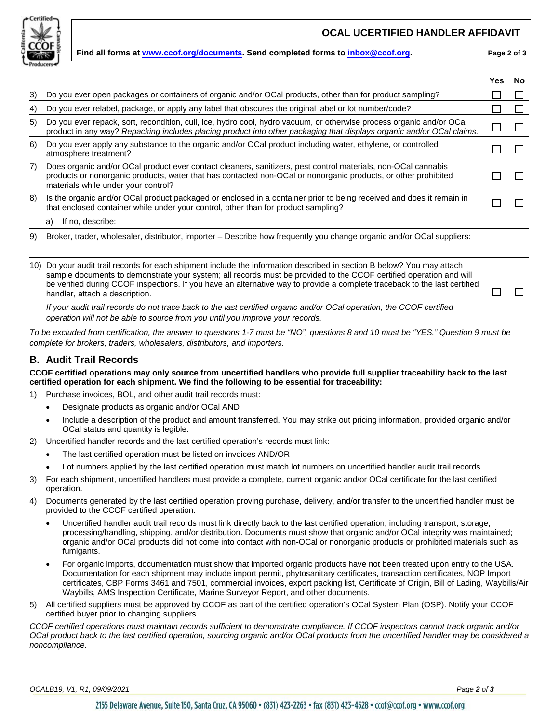

#### **OCAL UCERTIFIED HANDLER AFFIDAVIT**

#### **Find all forms at [www.ccof.org/documents.](https://www.ccof.org/documents) Send completed forms to [inbox@ccof.org.](https://ccof1.sharepoint.com/sites/365XCertStaff/Shared%20Documents/General/WIP%20Controlled%20Documents/COMPLETE%20AND%20READY%20TO%20SEND/OCal%20OSP%20Sept%202021/Distributor/inbox@ccof.org) Page 2 of 3**

|     |                                                                                                                                                                                                                                                                                                                                                                                                         | Yes | No |
|-----|---------------------------------------------------------------------------------------------------------------------------------------------------------------------------------------------------------------------------------------------------------------------------------------------------------------------------------------------------------------------------------------------------------|-----|----|
| 3)  | Do you ever open packages or containers of organic and/or OCal products, other than for product sampling?                                                                                                                                                                                                                                                                                               |     |    |
| 4)  | Do you ever relabel, package, or apply any label that obscures the original label or lot number/code?                                                                                                                                                                                                                                                                                                   |     |    |
| 5)  | Do you ever repack, sort, recondition, cull, ice, hydro cool, hydro vacuum, or otherwise process organic and/or OCal<br>product in any way? Repacking includes placing product into other packaging that displays organic and/or OCal claims.                                                                                                                                                           |     |    |
| 6)  | Do you ever apply any substance to the organic and/or OCal product including water, ethylene, or controlled<br>atmosphere treatment?                                                                                                                                                                                                                                                                    |     |    |
| 7)  | Does organic and/or OCal product ever contact cleaners, sanitizers, pest control materials, non-OCal cannabis<br>products or nonorganic products, water that has contacted non-OCal or nonorganic products, or other prohibited<br>materials while under your control?                                                                                                                                  |     |    |
| 8)  | Is the organic and/or OCal product packaged or enclosed in a container prior to being received and does it remain in<br>that enclosed container while under your control, other than for product sampling?                                                                                                                                                                                              |     |    |
|     | If no, describe:<br>a)                                                                                                                                                                                                                                                                                                                                                                                  |     |    |
| 9)  | Broker, trader, wholesaler, distributor, importer – Describe how frequently you change organic and/or OCal suppliers:                                                                                                                                                                                                                                                                                   |     |    |
| 10) | Do your audit trail records for each shipment include the information described in section B below? You may attach<br>sample documents to demonstrate your system; all records must be provided to the CCOF certified operation and will<br>be verified during CCOF inspections. If you have an alternative way to provide a complete traceback to the last certified<br>handler, attach a description. |     |    |
|     | If your audit trail records do not trace back to the last certified organic and/or OCal operation, the CCOF certified<br>operation will not be able to source from you until you improve your records.                                                                                                                                                                                                  |     |    |

*To be excluded from certification, the answer to questions 1-7 must be "NO", questions 8 and 10 must be "YES." Question 9 must be complete for brokers, traders, wholesalers, distributors, and importers.* 

#### **B. Audit Trail Records**

**CCOF certified operations may only source from uncertified handlers who provide full supplier traceability back to the last certified operation for each shipment. We find the following to be essential for traceability:** 

- 1) Purchase invoices, BOL, and other audit trail records must:
	- Designate products as organic and/or OCal AND
	- Include a description of the product and amount transferred. You may strike out pricing information, provided organic and/or OCal status and quantity is legible.
- 2) Uncertified handler records and the last certified operation's records must link:
	- The last certified operation must be listed on invoices AND/OR
	- Lot numbers applied by the last certified operation must match lot numbers on uncertified handler audit trail records.
- 3) For each shipment, uncertified handlers must provide a complete, current organic and/or OCal certificate for the last certified operation.
- 4) Documents generated by the last certified operation proving purchase, delivery, and/or transfer to the uncertified handler must be provided to the CCOF certified operation.
	- Uncertified handler audit trail records must link directly back to the last certified operation, including transport, storage, processing/handling, shipping, and/or distribution. Documents must show that organic and/or OCal integrity was maintained; organic and/or OCal products did not come into contact with non-OCal or nonorganic products or prohibited materials such as fumigants.
	- For organic imports, documentation must show that imported organic products have not been treated upon entry to the USA. Documentation for each shipment may include import permit, phytosanitary certificates, transaction certificates, NOP Import certificates, CBP Forms 3461 and 7501, commercial invoices, export packing list, Certificate of Origin, Bill of Lading, Waybills/Air Waybills, AMS Inspection Certificate, Marine Surveyor Report, and other documents.
- 5) All certified suppliers must be approved by CCOF as part of the certified operation's OCal System Plan (OSP). Notify your CCOF certified buyer prior to changing suppliers.

*CCOF certified operations must maintain records sufficient to demonstrate compliance. If CCOF inspectors cannot track organic and/or OCal product back to the last certified operation, sourcing organic and/or OCal products from the uncertified handler may be considered a noncompliance.*

*OCALB19, V1, R1, 09/09/2021 Page 2 of 3*